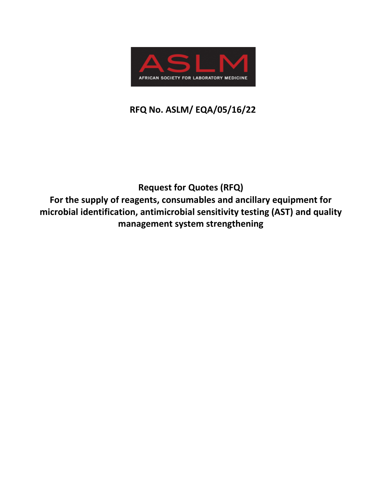

# **RFQ No. ASLM/ EQA/05/16/22**

# **Request for Quotes (RFQ) For the supply of reagents, consumables and ancillary equipment for microbial identification, antimicrobial sensitivity testing (AST) and quality management system strengthening**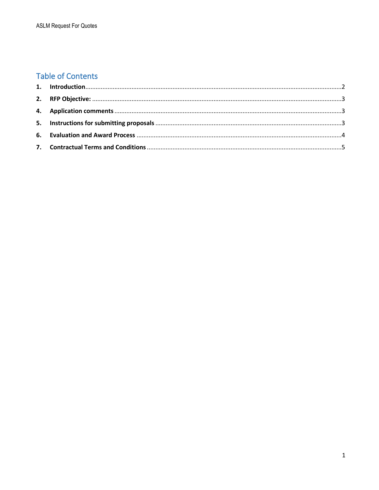## **Table of Contents**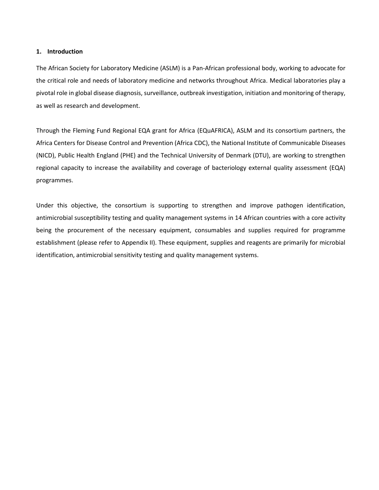#### <span id="page-2-0"></span>**1. Introduction**

The African Society for Laboratory Medicine (ASLM) is a Pan‐African professional body, working to advocate for the critical role and needs of laboratory medicine and networks throughout Africa. Medical laboratories play a pivotal role in global disease diagnosis, surveillance, outbreak investigation, initiation and monitoring of therapy, as well as research and development.

Through the Fleming Fund Regional EQA grant for Africa (EQuAFRICA), ASLM and its consortium partners, the Africa Centers for Disease Control and Prevention (Africa CDC), the National Institute of Communicable Diseases (NICD), Public Health England (PHE) and the Technical University of Denmark (DTU), are working to strengthen regional capacity to increase the availability and coverage of bacteriology external quality assessment (EQA) programmes.

Under this objective, the consortium is supporting to strengthen and improve pathogen identification, antimicrobial susceptibility testing and quality management systems in 14 African countries with a core activity being the procurement of the necessary equipment, consumables and supplies required for programme establishment (please refer to Appendix II). These equipment, supplies and reagents are primarily for microbial identification, antimicrobial sensitivity testing and quality management systems.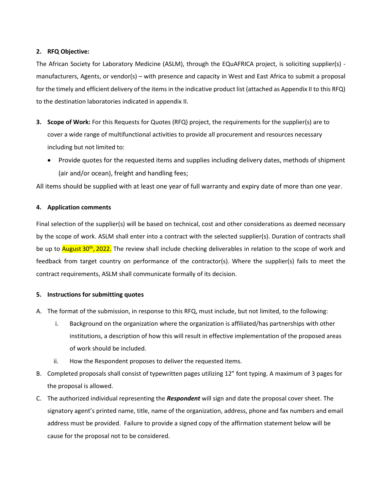#### <span id="page-3-0"></span>**2. RFQ Objective:**

The African Society for Laboratory Medicine (ASLM), through the EQuAFRICA project, is soliciting supplier(s) manufacturers, Agents, or vendor(s) – with presence and capacity in West and East Africa to submit a proposal for the timely and efficient delivery of the items in the indicative product list (attached as Appendix II to this RFQ) to the destination laboratories indicated in appendix II.

- **3. Scope of Work:** For this Requests for Quotes (RFQ) project, the requirements for the supplier(s) are to cover a wide range of multifunctional activities to provide all procurement and resources necessary including but not limited to:
	- Provide quotes for the requested items and supplies including delivery dates, methods of shipment (air and/or ocean), freight and handling fees;

All items should be supplied with at least one year of full warranty and expiry date of more than one year.

#### <span id="page-3-1"></span>**4. Application comments**

Final selection of the supplier(s) will be based on technical, cost and other considerations as deemed necessary by the scope of work. ASLM shall enter into a contract with the selected supplier(s). Duration of contracts shall be up to *August* 30<sup>th</sup>, 2022. The review shall include checking deliverables in relation to the scope of work and feedback from target country on performance of the contractor(s). Where the supplier(s) fails to meet the contract requirements, ASLM shall communicate formally of its decision.

#### <span id="page-3-2"></span>**5. Instructions for submitting quotes**

- A. The format of the submission, in response to this RFQ, must include, but not limited, to the following:
	- i. Background on the organization where the organization is affiliated/has partnerships with other institutions, a description of how this will result in effective implementation of the proposed areas of work should be included.
	- ii. How the Respondent proposes to deliver the requested items.
- B. Completed proposals shall consist of typewritten pages utilizing 12" font typing. A maximum of 3 pages for the proposal is allowed.
- C. The authorized individual representing the *Respondent* will sign and date the proposal cover sheet. The signatory agent's printed name, title, name of the organization, address, phone and fax numbers and email address must be provided. Failure to provide a signed copy of the affirmation statement below will be cause for the proposal not to be considered.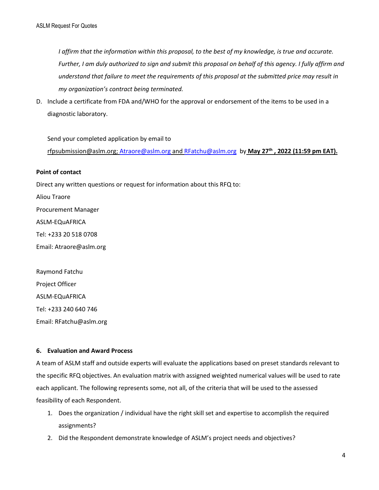*I affirm that the information within this proposal, to the best of my knowledge, is true and accurate. Further, I am duly authorized to sign and submit this proposal on behalf of this agency. I fully affirm and understand that failure to meet the requirements of this proposal at the submitted price may result in my organization's contract being terminated.* 

D. Include a certificate from FDA and/WHO for the approval or endorsement of the items to be used in a diagnostic laboratory.

Send your completed application by email to [rfpsubmission@aslm.org;](mailto:rfpsubmission@aslm.org) [Atraore@aslm.org](mailto:Atraore@aslm.org) an[d RFatchu@aslm.org](mailto:RFatchu@aslm.org) by **May 27 th , 2022 (11:59 pm EAT).**

#### **Point of contact**

Direct any written questions or request for information about this RFQ to:

Aliou Traore Procurement Manager ASLM-EQuAFRICA Tel: +233 20 518 0708 Email: Atraore@aslm.org

Raymond Fatchu Project Officer ASLM-EQuAFRICA Tel: +233 240 640 746 Email: RFatchu@aslm.org

#### <span id="page-4-0"></span>**6. Evaluation and Award Process**

A team of ASLM staff and outside experts will evaluate the applications based on preset standards relevant to the specific RFQ objectives. An evaluation matrix with assigned weighted numerical values will be used to rate each applicant. The following represents some, not all, of the criteria that will be used to the assessed feasibility of each Respondent.

- 1. Does the organization / individual have the right skill set and expertise to accomplish the required assignments?
- 2. Did the Respondent demonstrate knowledge of ASLM's project needs and objectives?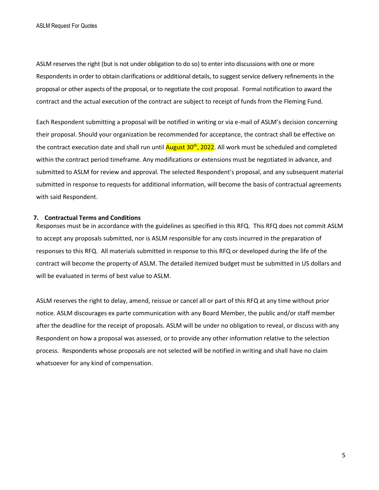ASLM reserves the right (but is not under obligation to do so) to enter into discussions with one or more Respondents in order to obtain clarifications or additional details, to suggest service delivery refinements in the proposal or other aspects of the proposal, or to negotiate the cost proposal. Formal notification to award the contract and the actual execution of the contract are subject to receipt of funds from the Fleming Fund.

Each Respondent submitting a proposal will be notified in writing or via e-mail of ASLM's decision concerning their proposal. Should your organization be recommended for acceptance, the contract shall be effective on the contract execution date and shall run until <mark>August 30<sup>th</sup>, 2022</mark>. All work must be scheduled and completed within the contract period timeframe. Any modifications or extensions must be negotiated in advance, and submitted to ASLM for review and approval. The selected Respondent's proposal, and any subsequent material submitted in response to requests for additional information, will become the basis of contractual agreements with said Respondent.

#### <span id="page-5-0"></span>**7. Contractual Terms and Conditions**

Responses must be in accordance with the guidelines as specified in this RFQ. This RFQ does not commit ASLM to accept any proposals submitted, nor is ASLM responsible for any costs incurred in the preparation of responses to this RFQ. All materials submitted in response to this RFQ or developed during the life of the contract will become the property of ASLM. The detailed itemized budget must be submitted in US dollars and will be evaluated in terms of best value to ASLM.

ASLM reserves the right to delay, amend, reissue or cancel all or part of this RFQ at any time without prior notice. ASLM discourages ex parte communication with any Board Member, the public and/or staff member after the deadline for the receipt of proposals. ASLM will be under no obligation to reveal, or discuss with any Respondent on how a proposal was assessed, or to provide any other information relative to the selection process. Respondents whose proposals are not selected will be notified in writing and shall have no claim whatsoever for any kind of compensation.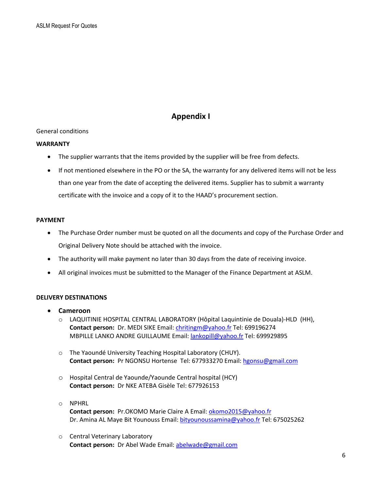### **Appendix I**

#### General conditions

#### **WARRANTY**

- The supplier warrants that the items provided by the supplier will be free from defects.
- If not mentioned elsewhere in the PO or the SA, the warranty for any delivered items will not be less than one year from the date of accepting the delivered items. Supplier has to submit a warranty certificate with the invoice and a copy of it to the HAAD's procurement section.

#### **PAYMENT**

- The Purchase Order number must be quoted on all the documents and copy of the Purchase Order and Original Delivery Note should be attached with the invoice.
- The authority will make payment no later than 30 days from the date of receiving invoice.
- All original invoices must be submitted to the Manager of the Finance Department at ASLM.

#### **DELIVERY DESTINATIONS**

- **Cameroon**
	- o LAQUITINIE HOSPITAL CENTRAL LABORATORY (Hôpital Laquintinie de Douala)-HLD (HH), **Contact person:** Dr. MEDI SIKE Email: [chritingm@yahoo.fr](mailto:chritingm@yahoo.fr) Tel: 699196274 MBPILLE LANKO ANDRE GUILLAUME Email[: lankopill@yahoo.fr](mailto:lankopill@yahoo.fr) Tel: 699929895
	- o The Yaoundé University Teaching Hospital Laboratory (CHUY). **Contact person:** Pr NGONSU Hortense Tel: 677933270 Email[: hgonsu@gmail.com](mailto:hgonsu@gmail.com)
	- o Hospital Central de Yaounde/Yaounde Central hospital (HCY) **Contact person:** Dr NKE ATEBA Gisèle Tel: 677926153
	- o NPHRL **Contact person:** Pr.OKOMO Marie Claire A Email[: okomo2015@yahoo.fr](mailto:okomo2015@yahoo.fr) Dr. Amina AL Maye Bit Younouss Email[: bityounoussamina@yahoo.fr](mailto:bityounoussamina@yahoo.fr) Tel: 675025262
	- o Central Veterinary Laboratory **Contact person:** Dr Abel Wade Email: [abelwade@gmail.com](mailto:abelwade@gmail.com)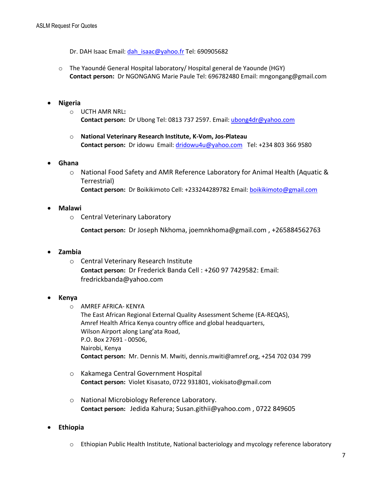Dr. DAH Isaac Email: dah isaac@yahoo.fr Tel: 690905682

o The Yaoundé General Hospital laboratory/ Hospital general de Yaounde (HGY) **Contact person:** Dr NGONGANG Marie Paule Tel: 696782480 Email: mngongang@gmail.com

#### • **Nigeria**

- o UCTH AMR NRL**: Contact person:** Dr Ubong Tel: 0813 737 2597. Email[: ubong4dr@yahoo.com](mailto:ubong4dr@yahoo.com)
- o **National Veterinary Research Institute, K-Vom, Jos-Plateau Contact person:** Dr idowu Email[: dridowu4u@yahoo.com](mailto:dridowu4u@yahoo.com) Tel: +234 803 366 9580

#### • **Ghana**

o National Food Safety and AMR Reference Laboratory for Animal Health (Aquatic & Terrestrial) **Contact person:** Dr Boikikimoto Cell: +233244289782 Email: [boikikimoto@gmail.com](mailto:boikikimoto@gmail.com)

#### • **Malawi**

o Central Veterinary Laboratory

**Contact person:** Dr Joseph Nkhoma, joemnkhoma@gmail.com , +265884562763

#### • **Zambia**

o Central Veterinary Research Institute **Contact person:** Dr Frederick Banda Cell : +260 97 7429582: Email: fredrickbanda@yahoo.com

#### • **Kenya**

- o AMREF AFRICA- KENYA The East African Regional External Quality Assessment Scheme (EA-REQAS), Amref Health Africa Kenya country office and global headquarters, Wilson Airport along Lang'ata Road, P.O. Box 27691 - 00506, Nairobi, Kenya **Contact person:** Mr. Dennis M. Mwiti, dennis.mwiti@amref.org, +254 702 034 799
- o Kakamega Central Government Hospital **Contact person:** Violet Kisasato, 0722 931801, viokisato@gmail.com
- o National Microbiology Reference Laboratory. **Contact person:** Jedida Kahura; Susan.githii@yahoo.com , 0722 849605

#### • **Ethiopia**

o Ethiopian Public Health Institute, National bacteriology and mycology reference laboratory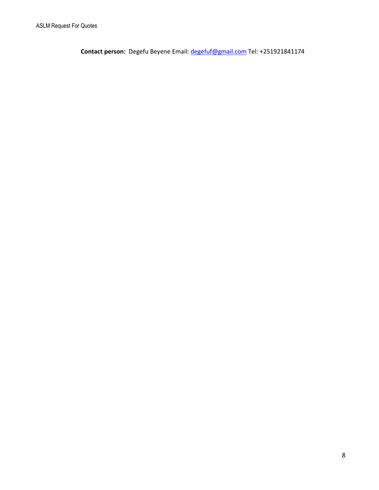**Contact person:** Degefu Beyene Email: [degefuf@gmail.com](mailto:degefuf@gmail.com) Tel: +251921841174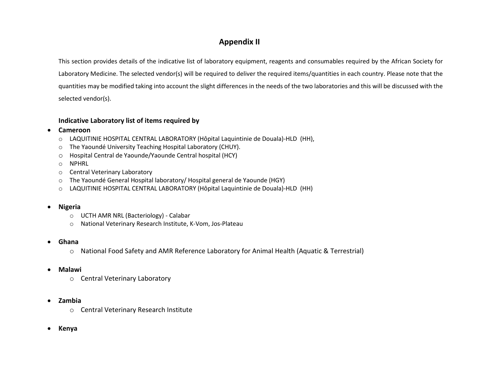## **Appendix II**

This section provides details of the indicative list of laboratory equipment, reagents and consumables required by the African Society for Laboratory Medicine. The selected vendor(s) will be required to deliver the required items/quantities in each country. Please note that the quantities may be modified taking into account the slight differences in the needs of the two laboratories and this will be discussed with the selected vendor(s).

#### **Indicative Laboratory list of items required by**

- **Cameroon**
	- o LAQUITINIE HOSPITAL CENTRAL LABORATORY (Hôpital Laquintinie de Douala)-HLD (HH),
	- o The Yaoundé University Teaching Hospital Laboratory (CHUY).
	- o Hospital Central de Yaounde/Yaounde Central hospital (HCY)
	- o NPHRL
	- o Central Veterinary Laboratory
	- o The Yaoundé General Hospital laboratory/ Hospital general de Yaounde (HGY)
	- o LAQUITINIE HOSPITAL CENTRAL LABORATORY (Hôpital Laquintinie de Douala)-HLD (HH)

#### • **Nigeria**

- o UCTH AMR NRL (Bacteriology) Calabar
- o National Veterinary Research Institute, K-Vom, Jos-Plateau

#### • **Ghana**

o National Food Safety and AMR Reference Laboratory for Animal Health (Aquatic & Terrestrial)

#### • **Malawi**

o Central Veterinary Laboratory

#### • **Zambia**

- o Central Veterinary Research Institute
- **Kenya**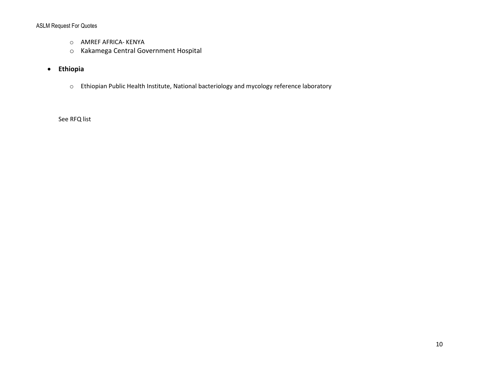#### ASLM Request For Quotes

- o AMREF AFRICA- KENYA
- o Kakamega Central Government Hospital
- **Ethiopia**
	- o Ethiopian Public Health Institute, National bacteriology and mycology reference laboratory

See RFQ list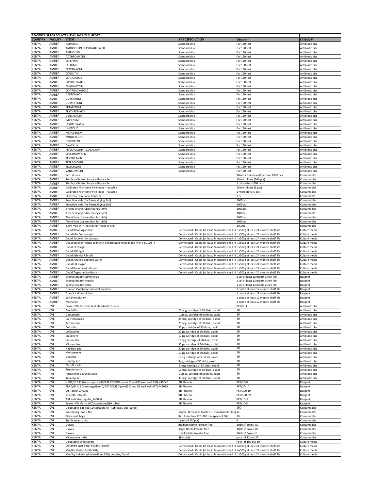|                            |                          | REAGENT LIST FOR COUNTRY LEVEL FACILITY SUPPORT                                |                                                                                                   |                                                                              |                                    |
|----------------------------|--------------------------|--------------------------------------------------------------------------------|---------------------------------------------------------------------------------------------------|------------------------------------------------------------------------------|------------------------------------|
| <b>COUNTRY</b>             | <b>FACILITY</b>          | <b>ITEM</b>                                                                    | SPECIFICATION                                                                                     | Quantity                                                                     | <b>CATEGORY</b>                    |
| ENYA)<br><b>ENYA</b>       | AMREF<br>AMREF           | AMIKACIN<br>AMOXICILLIN-CLAVULANIC ACID                                        | Standard disl<br>Standard disk                                                                    | For 150 test<br>For 150 test                                                 | Antibiotic disc<br>Antibiotic disc |
| ENYA)                      | AMREF                    | AMPICILLIN                                                                     | Standard disk                                                                                     | For 150 test                                                                 | Antibiotic disc                    |
| <b>ENYA</b>                | AMREF                    | AZITHROMYCIN                                                                   | Standard disk                                                                                     | For 150 test                                                                 | Antibiotic disc                    |
| ENYA)                      | AMREF                    | CEFEPIME                                                                       | Standard disk                                                                                     | For 150 test                                                                 | Antibiotic disc                    |
| <b>ENYA</b>                | AMREF                    | <b>EFIXIME</b>                                                                 | Standard disk                                                                                     | For 150 test                                                                 | Antibiotic disc                    |
| ENYA)                      | AMREF                    | CEFTRIAXONE                                                                    | Standard disk                                                                                     | For 150 test                                                                 | Antibiotic disc                    |
| <b>ENYA</b>                | AMREF                    | CEFOXITIN                                                                      | Standard disk                                                                                     | For 150 test                                                                 | Antibiotic disc                    |
| <b>ENYA</b>                | AMREF                    | CEFTAZIDIME                                                                    | Standard disk                                                                                     | For 150 test                                                                 | Antibiotic disc                    |
| <b>ENYA</b><br><b>ENYA</b> | AMREF<br>AMREF           | CIPROFLOXACIN<br>CLINDAMYCIN                                                   | Standard disk<br>Standard disk                                                                    | For 150 test<br>For 150 test                                                 | Antibiotic disc<br>Antibiotic disc |
| ENYA)                      | AMREF                    | CO-TRIMOXAZOLE                                                                 | Standard disk                                                                                     | For 150 test                                                                 | Antibiotic disc                    |
| ENYA)                      | AMREF                    | DAPTOMYCIN                                                                     | standard disk                                                                                     | For 150 test                                                                 | Antibiotic disc                    |
| ENYA)                      | AMREF                    | <b>DORIPENEM</b>                                                               | Standard disk                                                                                     | For 150 test                                                                 | Antibiotic disc                    |
| ENYA                       | AMREF                    | <b>DOXYCYCLINE</b>                                                             | Standard disk                                                                                     | For 150 test                                                                 | Antibiotic disc                    |
| ENYA                       | AMREF                    | ERTAPENEM                                                                      | Standard disk                                                                                     | For 150 test                                                                 | Antibiotic disc                    |
| <b>ENYA</b>                | AMREF                    | ERYTHROMYCIN                                                                   | Standard disk                                                                                     | For 150 test                                                                 | Antibiotic disc                    |
| <b>ENYA</b>                | AMREF                    | <b>GENTAMICIN</b><br><b>IMIPENEM</b>                                           | Standard disk                                                                                     | For 150 test                                                                 | Antibiotic disc                    |
| ENYA<br>ENYA)              | AMREF<br>AMREF           | LEVOFLOXACIN                                                                   | Standard disk<br>standard disk                                                                    | For 150 test<br>For 150 test                                                 | Antibiotic disc<br>Antibiotic disc |
| ENYA)                      | AMREF                    | LINEZOLID                                                                      | Standard disk                                                                                     | For 150 test                                                                 | Antibiotic disc                    |
| ENYA                       | AMREF                    | MEROPENEM                                                                      | Standard disk                                                                                     | For 150 test                                                                 | Antibiotic disc                    |
| ENYA                       | AMREF                    | MINOCYCLINE                                                                    | Standard disk                                                                                     | For 150 test                                                                 | Antibiotic disc                    |
| <b>ENYA</b>                | AMREF                    | OFLOXACIN                                                                      | Standard disk                                                                                     | For 150 test                                                                 | Antibiotic disc                    |
| KENYA                      | AMREF                    | OXACILLIN                                                                      | Standard disk                                                                                     | For 150 test                                                                 | Antibiotic disc                    |
| <b>ENYA</b>                | AMREF                    | PIPERACILLIN/TAZOBACTAM                                                        | Standard disk                                                                                     | For 150 test                                                                 | Antibiotic disc                    |
| (ENYA<br><b>ENYA</b>       | AMREF<br>AMREF           | SPECTINOMYCIN<br>TEICOPLANIN                                                   | Standard disk<br>Standard disk                                                                    | For 150 test<br>For 150 test                                                 | Antibiotic disc                    |
| <b>ENYA</b>                | AMREF                    | TETRACYCLINE                                                                   | Standard disk                                                                                     | For 150 test                                                                 | Antibiotic disc<br>Antibiotic disc |
| ENYA                       | AMREF                    | TIGECYCLINE                                                                    | standard disk                                                                                     | For 150 test                                                                 | Antibiotic disc                    |
| ENYA                       | AMREF                    | VANCOMYCIN                                                                     | Standard disk                                                                                     | For 150 test                                                                 | Antibiotic disc                    |
| ENYA)                      | AMREF                    | Petri dishes                                                                   |                                                                                                   | 90mm x 15mm in dimension 1000 pcs                                            | Consumables                        |
| <b>ENYA</b>                | AMREF                    | Sterile calibrated Loops - disposable                                          |                                                                                                   | 10 microliters (500 pcs)                                                     | Consumables                        |
| <b>ENYA</b>                | AMREF                    | Sterile calibrated Loops - disposable                                          |                                                                                                   | 1 microliters (500 pcs)                                                      | Consumables                        |
| <b>ENYA</b>                | AMREF                    | Calibrated Nichrome wire loops - reusable                                      |                                                                                                   | 10 microliters (5 pcs)                                                       | Consumables                        |
| <b>ENYA</b><br>ENYA        | AMREF<br>AMREF           | Calibrated Nichrome wire loops - reusable<br>Electronic wire loop sterilizer   |                                                                                                   | 1 microliters (5 pcs)<br>. pc                                                | Consumables<br>consumables         |
| ENYA                       | AMREF                    | Injection vials (for freeze drying 2ml)                                        |                                                                                                   | 1000pcs                                                                      | Consumables                        |
| ENYA)                      | AMREF                    | Injection vials (for freeze drying 5ml)                                        |                                                                                                   | 1000pcs                                                                      | Consumables                        |
| ENYA                       | AMREF                    | Freeze drying rubber bungs (2ml)                                               |                                                                                                   | L000pcs                                                                      | Consumables                        |
| ENYA)                      | AMREF                    | Freeze drying rubber bungs (5ml)                                               |                                                                                                   | 1000pcs                                                                      | Consumables                        |
| <b>ENYA</b>                | AMREF                    | Aluminium closures (for 5ml vials)                                             |                                                                                                   | 1000pcs                                                                      | Consumables                        |
| <b>ENYA</b>                | AMREF                    | Aluminium closures (for 2ml vials)                                             |                                                                                                   | 1000pcs                                                                      | Consumables                        |
| ENYA<br><b>ENYA</b>        | AMREF<br>AMREF           | Skim milk with inositol for freeze drying                                      |                                                                                                   | Lx500g                                                                       | Consumables                        |
| <b>ENYA</b>                | AMREF                    | Oxoid Blood Agar Base<br>Oxoid MacConkey agar                                  | Dehydrated - Oxoid (at least 24 months shelf li<br>Dehydrated - Oxoid (at least 24 months shelf l | 1x500g at least 24 months shelf life<br>1x500g at least 24 months shelf life | Culture media<br>Culture media     |
| <b>ENYA</b>                | AMREF                    | Oxoid Mueller Hinton agar                                                      | Dehydrated - Oxoid (at least 24 months shelf                                                      | 1x500g at least 24 months shelf life                                         | Culture media                      |
| ENYA)                      | AMREF                    | Oxoid Mueller Hinton agar with defibrinated horse blood (MH-F EUCAST)          | Dehydrated - Oxoid (at least 24 months shelf I                                                    | 1x500g at least 24 months shelf life                                         | Culture media                      |
| ENYA                       | AMREF                    | Oxoid TCBS agar                                                                | Dehydrated - Oxoid (at least 24 months shelf li                                                   | 1x500g at least 24 months shelf life                                         | Culture media                      |
| KENYA                      | AMREF                    | Oxoid XLD agar                                                                 | Dehydrated - Oxoid (at least 24 months shelf I                                                    | 1x500g at least 24 months shelf life                                         | Culture media                      |
| ENYA                       | AMREF                    | Oxoid Selenite F broth                                                         | Dehydrated - Oxoid (at least 24 months shelf                                                      | 1x500g at least 24 months shelf life                                         | Culture media                      |
| <b>ENYA</b>                | AMREF                    | Oxoid Alkaline peptone water                                                   | Dehydrated - Oxoid (at least 24 months shelf I                                                    | 1x500g at least 24 months shelf life                                         | Culture media                      |
| <b>ENYA</b>                | AMREF<br>AMREF           | Oxoid CLED agar                                                                | Dehydrated - Oxoid (at least 24 months shelf li                                                   | 1x500g at least 24 months shelf life                                         | Culture media                      |
| <b>ENYA</b><br>ENYA)       | AMREF                    | Oxoid Brain heart infusion<br>Oxoid Tryptone Soy Broth                         | Dehydrated - Oxoid (at least 24 months shelf<br>Dehydrated - Oxoid (at least 24 months shelf li   | 1x500g at least 24 months shelf life<br>1x500g at least 24 months shelf life | Culture media<br>Culture media     |
| <b>ENYA</b>                | AMREF                    | Typing sera for salmonellae                                                    |                                                                                                   | set at least 12 months shelf life                                            | Reagent                            |
| ENYA)                      | AMREF                    | Typing sera for shigella                                                       |                                                                                                   | set at least 12 months shelf life                                            | Reagent                            |
| <b>ENYA</b>                | AMREF                    | Typing sera for vibrio                                                         |                                                                                                   | set at least 12 months shelf life                                            | Reagent                            |
| ENYA)                      | AMREF                    | Gentian Violet/Crystal violet solution                                         |                                                                                                   | bottle at least 12 months shelf life                                         | Reagent                            |
| ENYA                       | AMREF                    | Gram's Iodine solution                                                         |                                                                                                   | L bottle at least 12 months shelf life                                       | Reagent                            |
| <b>ENYA</b>                | AMREF                    | Safranin solution                                                              |                                                                                                   | bottle at least 12 months shelf life                                         | Reagent                            |
| <b>ENYA</b><br><b>ENYA</b> | AMREF                    | Methanol<br>Bruker IVD Bacterial Test Standard(5 tubes)                        |                                                                                                   | bottle at least 12 months shelf life<br>PKT/5-3                              | Reagent<br>Antibiotic disc         |
| <b>ENYA</b>                | CVL<br><b>CVL</b>        | Ampicillir                                                                     | 25mcg, catridge of 50 disks, oxoid                                                                | 10                                                                           | Antibiotic disc                    |
| <b>KENYA</b>               | <b>CVL</b>               | Gentamicin                                                                     | 10mcg, catridge of 50 disks, oxoid                                                                | 10                                                                           | Antibiotic disc                    |
| ENYA)                      | CVL                      | Co-trimoxazole                                                                 | 25mcg, catridge of 50 disks, oxoid                                                                | 10                                                                           | Antibiotic disc                    |
| <b>ENYA</b>                | <b>CVL</b>               | Tetracycline                                                                   | 25mcg, catridge of 50 disks, oxoid                                                                | 10                                                                           | Antibiotic disc                    |
| <b>KENYA</b>               | <b>CVL</b>               | Cefoxitin                                                                      | 30 µg catridge of 50 disks, oxoid                                                                 | 10                                                                           | Antibiotic disc                    |
| <b>ENYA</b>                | <b>CVL</b>               | Cefotaxime                                                                     | 30 µg catridge of 50 disks, oxoid                                                                 | 10                                                                           | Antibiotic disc                    |
| <b>ENYA</b><br><b>ENYA</b> | <b>CVL</b>               | Imipenem<br>Piperacillin                                                       | 10 µg catridge of 50 disks, oxoid                                                                 | 10<br>10                                                                     | Antibiotic disc                    |
| ENYA                       | CVL<br><b>CVL</b>        | Minocycline                                                                    | 110µg catridge of 50 disks, oxoid<br>30 µg catridge of 50 disks, oxoid                            | 10                                                                           | Antibiotic disc<br>Antibiotic disc |
| ENYA                       | CVL                      | Nalidixic acid                                                                 | 30 µg catridge of 50 disks, oxoid                                                                 | 10                                                                           | Antibiotic disc                    |
| <b>ENYA</b>                | <b>CVL</b>               | Meropenem                                                                      | 10 µg catridge of 50 disks, oxoid                                                                 | 10                                                                           | Antibiotic disc                    |
| <b>KENYA</b>               | <b>CVL</b>               | Oxacillin                                                                      | 1mcg, catridge of 50 disks, oxoid                                                                 | 10                                                                           | Antibiotic disc                    |
| <b>ENYA</b>                | <b>CVL</b>               | Doxycycline                                                                    | 5µg, catridge of 50 disks, oxoid                                                                  | 10                                                                           | Antibiotic disc                    |
| <b>ENYA</b>                | <b>CVL</b>               | Ciprofloxacin                                                                  | 5mcg, catridge of 50 disks, oxoid                                                                 | 10                                                                           | Antibiotic disc                    |
| <b>ENYA</b><br><b>ENYA</b> | CVL<br><b>CVL</b>        | Streptomycin                                                                   | 10mcg, catridge of 50 disks, oxoid                                                                | 10<br>10                                                                     | Antibiotic disc                    |
| ENYA)                      | CVL                      | Amoxicillin clavunalic acid<br>Kanamycin                                       | 30mcg, catridge of 50 disks, oxoid<br>30mcg, catridge of 50 disks, oxoid.                         | 10                                                                           | Antibiotic disc<br>Antibiotic disc |
| ENYA                       | CVL                      | NMIC/ID 431 Gram negative-ID/AST COMBO panel( ID and 85 well well AST)-449040  | <b>BD Phoenix</b>                                                                                 | PKT/25-8                                                                     | Reagent                            |
| ENYA)                      | CVL                      | PMIC/ID 111 Gram negative-ID/AST COMBO panel( ID and 85 well well AST)-449038  | <b>BD Phoenix</b>                                                                                 | PKT/25-10                                                                    | Reagent                            |
| <b>ENYA</b>                | <b>CVL</b>               | AST broth-246003                                                               | <b>BD Phoenix</b>                                                                                 | PKT/100-19                                                                   | Reagent                            |
| KENYA                      | <b>CVL</b>               | ID broth-246001                                                                | <b>BD Phoenix</b>                                                                                 | PKT/100-20                                                                   | Reagent                            |
| <b>ENYA</b>                | <b>CVL</b>               | AST indicator regular_246004                                                   | <b>BD Phoenix</b>                                                                                 | PKT/10-1                                                                     | Reagent                            |
| <b>ENYA</b>                | <b>CVL</b>               | Bruker IVD Matrix HCCA, portioned (10 tubes)                                   | <b>BD Phoenix</b>                                                                                 | PKT/10-8                                                                     | Reagent                            |
| <b>ENYA</b>                | CVL                      | Disposable Lab coat , Disposable TNT Lab coat , size -Large                    |                                                                                                   | 100                                                                          | Consumables                        |
| <b>ENYA</b><br>ENYA)       | CVL<br>CVL               | Inoculating loops, Nic<br>Biohazard bags                                       | nrome; three inch twisted, 3 mm diameter loo<br>Red Autoclave 220x280 mm (pack of 50)             | 12<br>10                                                                     | Consumables<br>Consumables         |
| <b>ENYA</b>                | <b>CVL</b>               | Sterile swabs stick                                                            | pack of 150pcs)                                                                                   |                                                                              | Consumables                        |
| ENYA)                      | CVL                      | Gloves                                                                         | medium Nitrile Powder free                                                                        | 10pkts/Boxes-80                                                              | Consumables                        |
| <b>ENYA</b>                | <b>CVL</b>               | Gloves                                                                         | large Nitrile Powder free                                                                         | 10pkts/Boxes-20                                                              | Consumables                        |
| <b>ENYA</b>                | <b>CVL</b>               | Gloves                                                                         | small Nitrile Powder free                                                                         | 10pkts/Boxes-2                                                               | Consumables                        |
| <b>ENYA</b>                | <b>CVL</b>               | Microscope slides                                                              | (frosted)                                                                                         | pack of 72 pcs-25                                                            | Consumables                        |
| <b>ENYA</b>                | <b>CVL</b>               | Disposable Shoe covers                                                         |                                                                                                   | Pack of 100 pcs-50                                                           | Culture media                      |
| <b>ENYA</b>                | CVL                      | Columbia agar base, 500gms, oxoid                                              | Dehydrated - Oxoid (at least 24 months shelf li                                                   | 4x500g at least 24 months shelf life                                         | Culture media                      |
| ENYA)<br>KENYA             | <b>CVL</b><br><b>CVL</b> | Mueller Hinton Broth 500g<br>Motility Indole Lysine medium, 500g powder, Oxoid | Dehydrated - Oxoid (at least 24 months shelf I<br>Dehydrated - Oxoid (at least 24 months shelf li | 4x500g at least 24 months shelf life<br>1x500g at least 24 months shelf life | Culture media<br>Culture media     |
|                            |                          |                                                                                |                                                                                                   |                                                                              |                                    |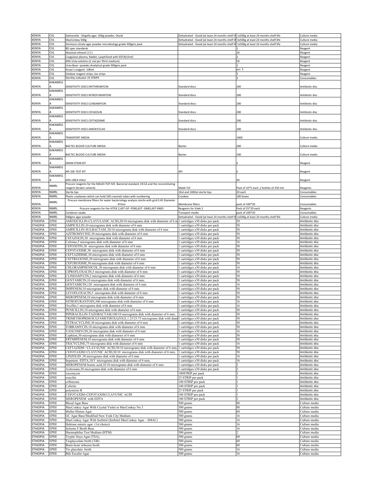| <b>KENYA</b>    | <b>CVL</b>            | Salmonella - Shigella agar, 500g powder, Oxoid                                           | Dehydrated - Oxoid (at least 24 months shelf li | 1x500g at least 24 months shelf life    | Culture media   |
|-----------------|-----------------------|------------------------------------------------------------------------------------------|-------------------------------------------------|-----------------------------------------|-----------------|
| KENYA           | CVL                   | MacConkey 500g                                                                           | Dehydrated - Oxoid (at least 24 months shelf li | 3x500g at least 24 months shelf life    | Culture media   |
|                 |                       |                                                                                          |                                                 |                                         |                 |
| KENYA           | <b>CVL</b>            | Simmons citrate agar powder microbiology grade 500gms pack                               | Dehydrated - Oxoid (at least 24 months shelf li | 1x500g at least 24 months shelf life    | Culture media   |
| KENYA           | CVL                   | <b>BD</b> spec standards                                                                 |                                                 |                                         | Reagent         |
| KENYA           | CVL                   | Absolute ethanol 2.5 L                                                                   |                                                 | 20                                      | Reagent         |
| <b>CENYA</b>    | CVL                   | Coagulase plasma, Rabbit, Lyophilized with EDTA(15ml)                                    |                                                 |                                         | Reagent         |
| <b>ENYA</b>     | CVL                   | 40% Urea solution-(1 vial per 95ml medium)                                               |                                                 | 50                                      | Reagent         |
| <b>CENYA</b>    | CVL                   | Jrea Base -powder, Analytical grade 500gms pack                                          |                                                 |                                         | Reagent         |
| <b>ENYA</b>     | CVL                   | Covac's reagent- 100ml                                                                   |                                                 | pcs 5                                   | Reagent         |
|                 |                       |                                                                                          |                                                 |                                         |                 |
| KENYA           | <b>CVL</b>            | Oxidase reagent strips, loo strips                                                       |                                                 |                                         | leagent         |
| KENYA           | CVL                   | Sterility indicator 25 STRIPS                                                            |                                                 |                                         | Consumables     |
|                 | <b><i>CAKAMEG</i></b> |                                                                                          |                                                 |                                         |                 |
| (ENYA           |                       | SENSITIVITY DISCS ERYTHROMYCIN                                                           | Standard discs                                  | 200                                     | Antibiotic disc |
|                 | KAKAMEG               |                                                                                          |                                                 |                                         |                 |
| KENYA           |                       | SENSITIVITY DISCS NITROFURANTOIN                                                         | standard discs                                  | 200                                     | Antibiotic disc |
|                 | <b><i>CAKAMEG</i></b> |                                                                                          |                                                 |                                         |                 |
|                 |                       |                                                                                          |                                                 |                                         |                 |
| KENYA           |                       | SENSITIVITY DISCS CLINDAMYCIN                                                            | <b>Standard discs</b>                           | 200                                     | Antibiotic disc |
|                 | KAKAMEG               |                                                                                          |                                                 |                                         |                 |
| <b>CENYA</b>    |                       | SENSITIVITY DISCS CEFAZOLIN                                                              | Standard discs                                  | 200                                     | Antibiotic disc |
|                 | KAKAMEG               |                                                                                          |                                                 |                                         |                 |
| <b>CENYA</b>    |                       | SENSITIVITY DISCS CEFTAZIDIME                                                            | Standard discs                                  | 200                                     | Antibiotic disc |
|                 | KAKAMEG               |                                                                                          |                                                 |                                         |                 |
| KENYA           |                       | SENSITIVITY DISCS AMOXY/CLAV                                                             | Standard discs                                  | 200                                     | Antibiotic disc |
|                 | KAKAMEG               |                                                                                          |                                                 |                                         |                 |
|                 |                       |                                                                                          |                                                 |                                         |                 |
| <b>CENYA</b>    |                       | <b>FRANSPORT MEDIA</b>                                                                   |                                                 | 1000                                    | Culture media   |
|                 | <b><i>CAKAMEG</i></b> |                                                                                          |                                                 |                                         |                 |
| KENYA           |                       | BACTEC BLOOD CULTURE MEDIA                                                               | Bactec                                          | 200                                     | Culture media   |
|                 | KAKAMEG               |                                                                                          |                                                 |                                         |                 |
| KENYA           |                       | BACTEC BLOOD CULTURE MEDIA                                                               | Bactec                                          | 100                                     | Culture media   |
|                 | KAKAMEG               |                                                                                          |                                                 |                                         |                 |
| KENYA           |                       | <b>GRAM STAIN KIT</b>                                                                    |                                                 |                                         | Reagent         |
|                 |                       |                                                                                          |                                                 |                                         |                 |
|                 | KAKAMEG               |                                                                                          |                                                 |                                         |                 |
| <b>CENYA</b>    |                       | API 20E TEST KIT                                                                         | API                                             |                                         | Reagent         |
|                 | KAKAMEG               |                                                                                          |                                                 |                                         |                 |
| KENYA           |                       | 40% UREA VIALS                                                                           |                                                 | 40                                      | Reagent         |
|                 |                       | Procure reagents for the MALDI-TOF IVD -Bacterial standard , HCCA and the reconstituting |                                                 |                                         |                 |
| <b>CENYA</b>    | NMRL                  | eagent (bruker solvent)                                                                  | Maldi-Tof                                       | Pack of 10*5 each, 2 bottles of 250 mls | Reagents        |
| KENYA           | NMRL                  | Sterile tips                                                                             | 10ul and 1000ul sterile tips                    | 20 each                                 | Consumables     |
| <b>KENYA</b>    | NMRL                  | Plastic cryoboxes which can hold 100 cryovials tubes with numbering                      | Cryobox                                         | 100 boxes                               | Consumables     |
|                 |                       | Procure membrane filters for water bacteriology analysis sterile with grid 0.45 Diameter |                                                 |                                         |                 |
| <b>CENYA</b>    | NMRL                  | 47 <sub>mm</sub>                                                                         | Membrane filters                                | pack of 100*20                          | Consumables     |
|                 |                       | Procure reagents for the VITEK 2,AST-GP -P580,AST- GN83,AST-XN05                         |                                                 |                                         |                 |
| KENYA           | <b>NMRL</b>           |                                                                                          | Reagents for Vitek 2                            | Pack of 25*20 each                      | Reagents        |
| KENYA           | NMRL                  | Carlybrair swabs                                                                         | Transport media                                 | pack of 100*20                          | Consumables     |
| <b>CENYA</b>    | NMRL                  | 500gms agar powder                                                                       | Dehydrated - Oxoid (at least 24 months shelf li | 1x500g at least 24 months shelf life    | Culture media   |
| <b>THIOPIA</b>  | EPHI                  | AMOXICILLIN-CLAVULANIC ACID, 20/10 micrograms disk with diameter of 6 m                  | 1 cartridges x50 disks per pack                 | 50                                      | Antibiotic disc |
| <b>THIOPIA</b>  | EPHI                  | AMPICILLIN, 10 micrograms disk with diameter of 6 mm                                     | cartridges x50 disks per pack                   | 50                                      | Antibiotic disc |
|                 |                       |                                                                                          |                                                 |                                         |                 |
| ETHIOPIA        | EPHI                  | AMPICILLIN-SULBACTAM, 20/10 micrograms disk with diameter of 6 mm                        | cartridges x50 disks per pack                   | 50                                      | Antibiotic disc |
| <b>ETHIOPIA</b> | EPHI                  | AZITROMYCINE,30 micrograms disk with diameter of 6 mm                                    | cartridges x50 disks per pack                   | 50                                      | Antibiotic disc |
| <b>ETHIOPIA</b> | EPHI                  | CEFAZOLIN,30 micrograms disk with diameter of 6 mm                                       | cartridges x50 disks per pack                   | 50                                      | Antibiotic disc |
| <b>THIOPIA</b>  | EPHI                  | Cefxime,5 micrograms disk with diameter of 6 mm                                          | cartridges x50 disks per pack                   | 16                                      | Antibiotic disc |
| <b>ETHIOPIA</b> | EPHI                  | CEFOXITIN,30 micrograms disk with diameter of 6 mm                                       | cartridges x50 disks per pack                   | 50                                      | Antibiotic disc |
| <b>ETHIOPIA</b> | EPHI                  | CEFOTAXIME,30 micrograms disk with diameter of 6 mm                                      | cartridges x50 disks per pack                   | 50                                      | Antibiotic disc |
|                 |                       |                                                                                          |                                                 |                                         |                 |
| <b>THIOPIA</b>  | EPHI                  | CEFTAZIDIME,30 micrograms disk with diameter of 6 mm                                     | cartridges x50 disks per pack                   | 50                                      | Antibiotic disc |
| ETHIOPIA        | EPHI                  | CEFTRIAXONE,30 micrograms disk with diameter of 6 mm                                     | cartridges x50 disks per pack                   | 50                                      | Antibiotic disc |
| <b>ETHIOPIA</b> | EPHI                  | CEFUROXIME,30 micrograms disk with diameter of 6 mm                                      | cartridges x50 disks per pack                   | 50                                      | Antibiotic disc |
| <b>ETHIOPIA</b> | EPHI                  | CHLORAMPHENICOL, 30 micrograms disk with diameter of 6 mm                                | cartridges x50 disks per pack                   | 16                                      | Antibiotic disc |
| <b>ETHIOPIA</b> | EPHI                  | CIPROFLOXACIN,5 micrograms disk with diameter of 6 mm                                    | cartridges x50 disks per pack                   | 50                                      | Antibiotic disc |
|                 | EPHI                  |                                                                                          |                                                 | 50                                      | Antibiotic disc |
| <b>ETHIOPIA</b> |                       | CLINDAMYCIN,2 micrograms disk with diameter of 6 mm                                      | cartridges x50 disks per pack                   |                                         |                 |
| ETHIOPIA        | EPHI                  | GENTAMICIN,10 micrograms disk with diameter of 6 mm,                                     | cartridges x50 disks per pack                   | 50                                      | Antibiotic disc |
| ETHIOPIA        | EPHI                  | GENTAMICIN, 120 micrograms disk with diameter of 6 mm                                    | cartridges x50 disks per pack                   | 16                                      | Antibiotic disc |
| ETHIOPIA        | EPHI                  | IMIPENEM, 10 micrograms disk with diameter of 6 mm                                       | cartridges x50 disks per pack                   | 50                                      | Antibiotic disc |
| <b>ETHIOPIA</b> | EPHI                  | EVOFLOXACIN,5 micrograms disk with diameter of 6 mm                                      | cartridges x50 disks per pack                   | 50                                      | Antibiotic disc |
| <b>THIOPIA</b>  | EPHI                  | MEROPENEM, 10 micrograms disk with diameter of 6 mm                                      | cartridges x50 disks per pack                   | 50                                      | Antibiotic disc |
|                 | EPHI                  |                                                                                          |                                                 | 16                                      |                 |
| <b>THIOPIA</b>  |                       | NITROFURANTOIN,300 micrograms disk with diameter of 6 mm                                 | cartridges x50 disks per pack                   |                                         | Antibiotic disc |
| <b>ETHIOPIA</b> | EPHI                  | Oxcillin, 1 micrograms disk with diameter of 6 mm                                        | cartridges x50 disks per pack                   | 16                                      | Antibiotic disc |
| <b>ETHIOPIA</b> | ∃PHI                  | ENICILLIN, 10 micrograms disk with diameter of 6 mm                                      | cartridges x50 disks per pack                   | 5٨                                      | Antibiotic dis  |
| <b>ETHIOPIA</b> | EPHI                  | PIPERACILLIN-TAZOBACTAM, 100/10 micrograms disk with diameter of 6 mm,                   | 1 cartridges x50 disks per pack                 | 50                                      | Antibiotic disc |
| <b>ETHIOPIA</b> | EPHI                  | TRIMETHOPRIM/SULFAMETHOXAZOLE,1.25/23.75 micrograms disk with diam                       | I cartridges x50 disks per pack                 | 50                                      | Antibiotic disc |
| <b>ETHIOPIA</b> | EPHI                  | TETRACYCLINE,30 micrograms disk with diameter of 6 mm                                    | cartridges x50 disks per pack                   | 50                                      | Antibiotic disc |
| <b>ETHIOPIA</b> | EPHI                  | TOBRAMYCIN, 10 micrograms disk with diameter of 6 mm                                     | cartridges x50 disks per pack                   | 50                                      | Antibiotic disc |
|                 |                       |                                                                                          |                                                 |                                         |                 |
| <b>ETHIOPIA</b> | EPHI                  | VANCOMYCIN,30 micrograms disk with diameter of 6 mm                                      | cartridges x50 disks per pack                   | 16                                      | Antibiotic disc |
| <b>ETHIOPIA</b> | EPHI                  | Cephiem, 30 micrograms disk with diameter of 6 mm                                        | cartridges x50 disks per pack                   | 50                                      | Antibiotic disc |
| <b>ETHIOPIA</b> | EPHI                  | ERTMIPENEM, 10 micrograms disk with diameter of 6 mm                                     | cartridges x50 disks per pack                   | 50                                      | Antibiotic disc |
| <b>ETHIOPIA</b> | EPHI                  | TIGCYCLINE,75 micrograms disk with diameter of 6 mm                                      | cartridges x50 disks per pack                   | 16                                      | Antibiotic disc |
| <b>ETHIOPIA</b> | EPHI                  | CEFTAZIDM +CLAVAUNIC ACID,30/10 micrograms disk with diameter of 6 mm,                   | cartridges x50 disks per pack                   | 50                                      | Antibiotic disc |
| <b>ETHIOPIA</b> | EPHI                  | CEFOTAXIM+CLAVUNIC ACID,30/10 micrograms disk with diameter of 6 mm,                     | 1 cartridges x50 disks per pack                 | 50                                      | Antibiotic disc |
| <b>ETHIOPIA</b> | EPHI                  | LINZOLID ,30 micrograms disk with diameter of 6 mm                                       | cartridges x50 disks per pack                   | 16                                      | Antibiotic disc |
|                 |                       |                                                                                          |                                                 |                                         |                 |
| <b>ETHIOPIA</b> | ∃PHI                  | Impenem - EDTA, 10/5 micrograms disk with diameter of 6 mm,                              | cartridges x50 disks per pack                   | 16                                      | Antibiotic disc |
| <b>ETHIOPIA</b> | EPHI                  | MEROPENEM-bornic acid, 10/10 micrograms disk with diameter of 6 mm                       | 1 cartridges x50 disks per pack                 |                                         | Antibiotic disc |
| <b>ETHIOPIA</b> | EPHI                  | Azitronam, 30 micrograms disk with diameter of 6 mm                                      | 1 cartridges x50 disks per pack                 |                                         | Antibiotic disc |
| <b>ETHIOPIA</b> | EPHI                  | acomycin                                                                                 | 100STRIP per pack                               |                                         | Antibiotic disc |
| <b>ETHIOPIA</b> | EPHI                  | oxacilin                                                                                 | 25 STRIP per pack                               |                                         | Antibiotic disc |
| <b>ETHIOPIA</b> | EPHI                  | ceftraxone                                                                               | 100 STRIP per pack                              |                                         | Antibiotic disc |
| <b>ETHIOPIA</b> |                       |                                                                                          |                                                 |                                         |                 |
|                 | EPHI                  | Colictin                                                                                 | 100 STRIP per pack                              |                                         | Antibiotic disc |
| <b>ETHIOPIA</b> | EPHI                  | oolymixin B                                                                              | 25 STRIP per pack                               |                                         | Antibiotic disc |
| <b>ETHIOPIA</b> | EPHI                  | CEFOTAXIM+CEFOTAXIM CLAVUNIC ACID                                                        | 100 STRIP per pack                              |                                         | Antibiotic disc |
| ETHIOPIA        | EPHI                  | MEROPENEM with EDTA                                                                      | 100 STRIP per pack                              |                                         | Antibiotic disc |
| <b>ETHIOPIA</b> | EPHI                  | <b>Blood Agar Base</b>                                                                   | 500 grams                                       | 80                                      | Culture media   |
| <b>ETHIOPIA</b> | EPHI                  | MacConkey Agar With Crystal Violet or MacConkey No 3                                     | 500 grams                                       | 80                                      | Culture media   |
| <b>ETHIOPIA</b> | EPHI                  | Muller Hinton Agar                                                                       |                                                 | 60                                      |                 |
|                 |                       |                                                                                          | 500 grams                                       |                                         | Culture media   |
| <b>ETHIOPIA</b> | EPHI                  | GC Agar Base/Modified New York City Medium                                               | 500 grams                                       | 16                                      | Culture media   |
| <b>ETHIOPIA</b> | EPHI                  | MacConkey Agar With Sorbitol (Sorbitol MacConkey Agar - SMAC)                            | 500 grams                                       | 16                                      | Culture media   |
| <b>ETHIOPIA</b> | EPHI                  | Hektone enteric agar (1st choice)                                                        | 500 grams                                       | 16                                      | Culture media   |
| <b>ETHIOPIA</b> | EPHI                  | Selenite F Broth Base                                                                    | 500 grams                                       | 16                                      | Culture media   |
| ETHIOPIA        | EPHI                  | Haemophilus Test Medium (HTM)                                                            | 500 grams                                       |                                         | Culture media   |
|                 |                       |                                                                                          |                                                 |                                         |                 |
| <b>ETHIOPIA</b> | EPHI                  | Tryptic Soya Agar (TSA),                                                                 | 500 grams                                       | 60                                      | Culture media   |
| <b>ETHIOPIA</b> | EPHI                  | Tioglaycolate broth (TiB)                                                                | 500 grams                                       | 60                                      | Culture media   |
| <b>ETHIOPIA</b> | EPHI                  | Brain heart infusion broth                                                               | 500 grams                                       | 60                                      | Culture media   |
|                 |                       |                                                                                          | 500 grams                                       | 16                                      | Culture media   |
| <b>ETHIOPIA</b> | EPHI                  | Tio glacolate broth                                                                      |                                                 |                                         |                 |
| <b>ETHIOPIA</b> | EPHI                  | <b>Bile Esculin Agar</b>                                                                 | 500 grams                                       | 16                                      | Culture media   |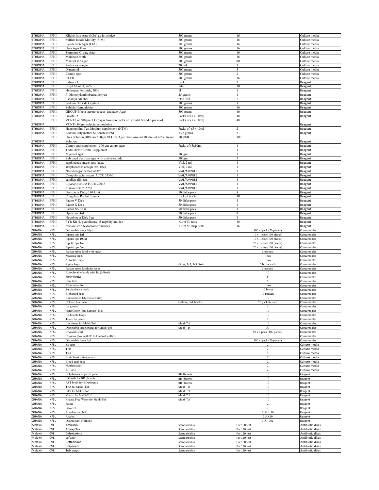| <b>ETHIOPIA</b>  | EPHI              | Kligler Iron Agar (KIA) as 1st choice                                      | $\overline{500}$ grams         | 16                              | Culture media                        |
|------------------|-------------------|----------------------------------------------------------------------------|--------------------------------|---------------------------------|--------------------------------------|
| ETHIOPIA         | EPHI              | Sulfide Indole Motility (SIM)                                              | 500 grams                      | 16                              | Culture media                        |
| <b>ETHIOPIA</b>  | EPHI              | ysine Iron Agar (LIA)                                                      | 500 grams                      | 16                              | Culture media                        |
|                  |                   |                                                                            |                                |                                 |                                      |
| <b>ETHIOPIA</b>  | EPHI              | Urea Agar Base                                                             | $500$ grams                    | 16                              | Culture media                        |
| <b>ETHIOPIA</b>  | EPHI              | Simmon's Citrate Agar                                                      | 500 grams                      | 16                              | Culture media                        |
| <b>ETHIOPIA</b>  | EPHI              | Malonate broth                                                             | 500 grams                      | 16                              | Culture media                        |
| <b>ETHIOPIA</b>  | EPHI              | Manitol salt agar                                                          | 500 grams                      | 80                              | Culture media                        |
| ETHIOPIA         | EPHI              | Andrades reagent                                                           | 200 <sub>ml</sub>              |                                 | Culture media                        |
| ETHIOPIA         | EPHI              | D-manitol                                                                  | 500 grams                      |                                 | Culture media                        |
| <b>ETHIOPIA</b>  | EPHI              | Campy agar                                                                 | 500 grams                      |                                 | Culture media                        |
|                  |                   | CLED                                                                       |                                | l6                              |                                      |
| ETHIOPIA         | EPHI              |                                                                            | 500 grams                      |                                 | Culture media                        |
| ETHIOPIA         | EPHI              | Indian ink                                                                 | oack                           |                                 | Reagent                              |
| ETHIOPIA         | EPHI              | Ethyl Alcohol, 96%                                                         | liter                          | 10                              | Reagent                              |
| <b>ETHIOPIA</b>  | EPHI              | Hydrogen Peroxide, 30%                                                     | 11                             |                                 | Reagent                              |
| <b>ETHIOPIA</b>  | EPHI              | P-Dimethylaminobenzaldehyde                                                | 25 grams                       |                                 | Reagent                              |
| <b>ETHIOPIA</b>  | EPHI              | Isoamyl Alcohol                                                            | One liter                      |                                 | Reagent                              |
| <b>ETHIOPIA</b>  | EPHI              | Sodium chloride Crystals                                                   | 500 grams                      |                                 | Reagent                              |
| <b>ETHIOPIA</b>  | EPHI              | Soluble Hemoglobin                                                         |                                | 16                              |                                      |
|                  |                   |                                                                            | 500 grams                      |                                 | Reagent                              |
| <b>ETHIOPIA</b>  | EPHI              | GROUP B beta sterpto coccus agalatae Agar                                  | 500 grams                      | 16                              | Reagent                              |
| ETHIOPIA         | EPHI              | sovital X                                                                  | Packs of (5 x 10ml)            | 48                              | Reagent                              |
|                  | EPHI              | VCNT For 500gm of GC agar base = 6 packs of Isolvital X and 3 packs of     | Packs of (5 x 10ml)            | 48                              |                                      |
| <b>ETHIOPIA</b>  |                   | VCNT=500gm soluble hemoglobin                                              |                                |                                 | Reagent                              |
| <b>ETHIOPIA</b>  | EPHI              | Haemophilus Test Medium supplement (HTM)                                   | Packs of (5 x 10ml             |                                 | Reagent                              |
| <b>ETHIOPIA</b>  | EPHI              | Sodium Polyanethol Sulfonate (SPS)                                         | 5.25 grams                     |                                 | Reagent                              |
|                  | EPHI              |                                                                            | 1000ML                         | 100                             |                                      |
|                  |                   | Urea Solution, 40% for 500gm Of Urea Agar Base Around 1000ml of 40% Urease |                                |                                 |                                      |
| ETHIOPIA         |                   | Solution                                                                   |                                |                                 | Reagent                              |
| ETHIOPIA         | EPHI              | Campy agar supplement 500 gm campy agar                                    | Packs of (5x10ml               |                                 | Reagent                              |
| <b>ETHIOPIA</b>  | EPHI              | Todd-Hewitt Broth - supplemnt                                              |                                |                                 | Reagent                              |
| <b>ETHIOPIA</b>  | EPHI              | Mycosel agar                                                               | 500gm                          |                                 | Reagent                              |
| <b>ETHIOPIA</b>  | EPHI              | Subroaud dextrose agar with cyolhexamide                                   | 500 <sub>gm</sub>              |                                 | Reagent                              |
| <b>ETHIOPIA</b>  | EPHI              | staphloccus antgen test latex                                              | Vial, 2 ml                     |                                 | Reagent                              |
|                  |                   |                                                                            |                                |                                 |                                      |
| <b>ETHIOPIA</b>  | EPHI              | streptocccous antegn test latex                                            | Vial, 2 ml                     |                                 | Reagent                              |
| <b>ETHIOPIA</b>  | EPHI              | Neisseria gonorrhea 49226                                                  | VIAL/AMPULE                    |                                 | Reagent                              |
| ETHIOPIA         | EPHI              | Campylobacter jejuni ATCC 33560                                            | VIAL/AMPULE                    |                                 | Reagent                              |
| <b>ETHIOPIA</b>  | EPHI              | candida alibican                                                           | VIAL/AMPULE                    |                                 | Reagent                              |
| <b>ETHIOPIA</b>  | EPHI              | C.parapsilosis ATCC® 22018                                                 | VIAL/AMPULE                    |                                 | Reagent                              |
| <b>ETHIOPIA</b>  | EPHI              | C.kruseiATCC 6258                                                          | VIAL/AMPULE                    |                                 | Reagent                              |
| <b>ETHIOPIA</b>  | EPHI              | Bacitracin Disk, 0.04 Unit                                                 | 50 disks/pack                  |                                 |                                      |
|                  |                   |                                                                            |                                |                                 | Reagent                              |
| <b>ETHIOPIA</b>  | EPHI              | Coagulase Rabbit Plasma                                                    | Pack of 6 x3ml                 | 30                              | Reagent                              |
| ETHIOPIA         | EPHI              | Factor V Disk                                                              | 50 disks/pack                  |                                 | Reagent                              |
| <b>ETHIOPIA</b>  | EPHI              | Factor X Disk                                                              | 50 disks/pack                  |                                 | Reagent                              |
| <b>ETHIOPIA</b>  | EPHI              | Factor XV Disk                                                             | 50 disks/pack                  |                                 | Reagent                              |
| ETHIOPIA         | EPHI              | Optochin Disk                                                              | 50 disks/pack                  |                                 | Reagent                              |
| <b>ETHIOPIA</b>  | EPHI              | Novobiocin Disk 5ug                                                        | 50 disks/pack                  |                                 | Reagent                              |
| <b>ETHIOPIA</b>  | EPHI              | PYR Kit (L-pyrrolidonyl-B-naphthylamide)                                   | Kit of 50 tests                | 16                              | Reagent                              |
|                  |                   |                                                                            |                                |                                 |                                      |
| <b>ETHIOPIA</b>  | <b>EPHI</b>       | oxidase strip (cytocrome oxidase)                                          | Kit of 50 strip tests          | 16                              | Reagent                              |
| GHANA            | <b>NFSL</b>       | Disposable loops 10µl                                                      |                                | 100 x1pack (20 pieces)          | Consumables                          |
| GHANA            | <b>NFSL</b>       | Pipette tips 1µl                                                           |                                | 10 x 1 case (100 pieces)        | Consumables                          |
| GHANA            | NFSL              | Pipette tips 100µl                                                         |                                | 10 x 1 case (100 pieces)        | Consumables                          |
| GHANA            | NFSL              | Pipette tips 1ml                                                           |                                | 20 x 1 case (100 pieces)        | Consumables                          |
| GHANA            | NFSI              | Pipette tips 5ml                                                           |                                | 20 x 1 case (100 pieces)        | Consumables                          |
|                  |                   |                                                                            |                                |                                 |                                      |
| <b>GHANA</b>     | VFSL              | alcon tubes 15ml with racks                                                |                                | 5 packets                       | Consumables                          |
| GHANA            | NFSI              | Masking tapes                                                              |                                | 1 box                           | Consumables                          |
| GHANA            | NFSI              | Autoclave tape                                                             |                                | 1 box                           | Consumables                          |
| GHANA            | NFSL              | Ziploc bags                                                                | (Sizes; 2x2, 2x3, 3x4)         | 2 boxes each                    | Consumables                          |
| GHANA            | NFSL              | Falcon tubes 15mlwith racks                                                |                                | 5 packets                       | Consumables                          |
| GHANA            | NFSL              | Autoclavable bottle with lid (500ml)                                       |                                | $10\,$                          | Consumables                          |
| GHANA            |                   |                                                                            |                                | $\,$ 6 $\,$                     |                                      |
|                  | NFSI              | Spray bottles                                                              |                                |                                 | Consumables                          |
| GHANA            | NFSL              | Cool box                                                                   |                                | 5                               | Consumables                          |
| GHANA            | NFSL              | Aluminium foil                                                             |                                | 1 box                           | Consumables                          |
| GHANA            | NFSL              | Surgical nose mask                                                         |                                | 10 boxes                        | Consumables                          |
| <b>GHANA</b>     | <b>NFSL</b>       | <b>Biohazard</b> bags                                                      |                                | 10 packets                      | Consumables                          |
| GHANA            | <b>NFSL</b>       | Embroidered lab coats (white)                                              |                                | 10                              | Consumables                          |
| <b>GHANA</b>     | <b>NFSL</b>       | Colored bin liners                                                         |                                | 20 packets each                 |                                      |
|                  |                   |                                                                            | (yellow, red, black)           |                                 |                                      |
| GHANA            | NFSL              | lce gloves                                                                 |                                |                                 | Consumables                          |
| GHANA            | <b>NFSL</b>       |                                                                            |                                |                                 | Consumables                          |
| GHANA            |                   | Hard Cover 'Eno Serwah' files                                              |                                | 10                              | Consumables                          |
|                  | NFSL              | Re-Usable loops                                                            |                                | $10\,$                          | Consumables                          |
| GHANA            | NFSL              | Toner for printer                                                          |                                | $\overline{c}$                  | Consumables                          |
| GHANA            | NFSL              | int tissue for Maldi-Tof                                                   | Maldi-Tof                      | $10\,$                          | Consumables                          |
|                  |                   |                                                                            |                                |                                 |                                      |
| GHANA            | NFSL              | Disposable target plates for Maldi-Tof                                     | Maldi-Tof                      | 50                              | Consumables                          |
| <b>GHANA</b>     | NFSL              | Cryovials 2ml                                                              |                                | $50 \times 1$ pack (100 pieces) | Consumables                          |
| GHANA            | NFSL              | Cryobox (box with 90 to hundred wells3)                                    |                                | 10                              | Consumables                          |
| <b>GHANA</b>     | <b>NFSL</b>       | Disposable loops 1µ1                                                       |                                | 100 x1pack (20 pieces)          | Consumables                          |
| GHANA            | NFSL              | SS agar                                                                    |                                | 2                               | Culture media                        |
| GHANA            | NFSL              | TSB                                                                        |                                | $\overline{c}$                  | Culture media                        |
|                  |                   | TSA                                                                        |                                | $\sqrt{2}$                      |                                      |
| GHANA            | NFSL              |                                                                            |                                |                                 | Culture media                        |
| GHANA            | NFSL              | Brain heart infusion agar                                                  |                                | $\sqrt{2}$                      | Culture media                        |
| <b>GHANA</b>     | NFSL              | Blood agar base                                                            |                                | $\overline{c}$                  | Culture media                        |
| GHANA            | NFSI              | Nutrient agar                                                              |                                | $\overline{c}$                  | Culture media                        |
| <b>GHANA</b>     | <b>NFSL</b>       | S.T.G.G                                                                    |                                | 2                               | Culture media                        |
| GHANA            | NFSL              | BD phoenix negative panel                                                  | <b>BD Phoenix</b>              | 10                              | Reagent                              |
| GHANA            | NFSL              | ID broth for BD phoenix                                                    | <b>BD Phoenix</b>              | 10                              | Reagent                              |
| <b>GHANA</b>     |                   |                                                                            |                                | 10                              |                                      |
|                  | NFSL              | AST broth for BD phoenix                                                   | <b>BD Phoenix</b>              |                                 | Reagent                              |
| GHANA            | NFSL              | <b>TFA</b> for Maldi-Tof                                                   | Maldi-Tof                      | 10                              | Reagent                              |
| GHANA            | NFSL              | BTS for Maldi-Tof                                                          | Maldi-Tof                      | $10\,$                          | Reagent                              |
| GHANA            | NFSL              | Matrix for Maldi-Tof                                                       | Maldi-Tof                      | $10\,$                          | Reagent                              |
| <b>GHANA</b>     | <b>NFSL</b>       | Rnaase Free Water for Maldi-Tof                                            | Maldi-Tof                      | 10                              | Reagent                              |
| GHANA            | <b>NFSL</b>       | Saline                                                                     |                                | 2                               | Reagent                              |
| <b>GHANA</b>     | <b>NFSL</b>       | Glycerol                                                                   |                                | $\overline{c}$                  |                                      |
|                  |                   |                                                                            |                                |                                 | Reagent                              |
| GHANA            | NFSL              | Absolute alcohol                                                           |                                | 2.5L x 10                       | Reagent                              |
| GHANA            | <b>NFSL</b>       | Alcohol                                                                    |                                | 2.5 X10                         | Reagent                              |
| GHANA            | NFSL              | Disinfectant (Virkon)                                                      |                                | 3 X 100g                        | Reagent                              |
| Malawi           | CVL               | Amikacin                                                                   | Standard disk                  | For 150 test                    | Antibiotic discs                     |
| Malawi           | CVL               | Amox/Clav                                                                  | Standard disk                  | For 150 test                    | Antibiotic discs                     |
| Malawi           | CVL               | Cefoxtaxime                                                                | Standard disk                  | For 150 test                    | Antibiotic discs                     |
|                  |                   |                                                                            |                                |                                 |                                      |
| Malawi           | <b>CVL</b>        | cefoxtin                                                                   | Standard disk                  | For 150 test                    | Antibiotic discs                     |
| Malawi           | CVL               | Ceftazidime                                                                | Standard disk                  | For 150 test                    | Antibiotic discs                     |
| Malawi<br>Malawi | <b>CVL</b><br>CVL | mipenem<br>Tobramycin                                                      | Standard disk<br>Standard disk | For 150 test<br>For 150 test    | Antibiotic discs<br>Antibiotic discs |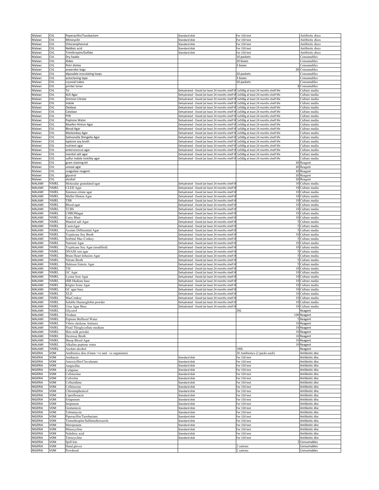| Malawi             | CVL         | Peperacillin/Tazobactam                       | Standard disk                                  | For 150 test                         | Antibiotic discs              |
|--------------------|-------------|-----------------------------------------------|------------------------------------------------|--------------------------------------|-------------------------------|
| Malawi             | <b>CVL</b>  | Minocyclin                                    | Standard disk                                  | For 150 test                         | Antibiotic discs              |
| Malawi             | <b>CVL</b>  | Chloramphenical                               | <b>Standard disk</b>                           | For 150 test                         | Antibiotic discs              |
| Malawi             | CVL         | Naldixic acid                                 | Standard disk                                  | For 150 test                         | Antibiotic discs              |
| Malawi             | CVL         | Trimthropim/Sulfate                           | Standard disk                                  | For 150 test                         | Antibiotic discs              |
| Malawi             | CVL         | Dry Swabs                                     |                                                | 10 packets                           | Consumables                   |
| Malawi             | CVL         | Slides                                        |                                                | 20 boxes                             | Consumables                   |
| Malawi             | CVL         | Petri dishes                                  |                                                | 3 boxes                              | Consumables                   |
| Malawi             | <b>CVL</b>  | anaerobic bags                                |                                                |                                      | 20 Consumables                |
| Malawi             | <b>CVL</b>  | diposable inoculating loops                   |                                                | 20 packets                           | Consumables                   |
|                    |             |                                               |                                                |                                      |                               |
| Malawi             | CVL         | autoclaving tape                              |                                                | 3 boxes                              | Consumables                   |
| Malawi             | <b>CVL</b>  | cryovial tubes                                |                                                | 10 packets                           | Consumables                   |
| Malawi             | CVL         | printer toner                                 |                                                |                                      | Consumables                   |
| Malawi             | CVL         | Tsi                                           | Dehydrated - Oxoid (at least 24 months shelf   | 1x500g at least 24 months shelf life | Culture media                 |
| Malawi             | CVL         | XLD Agar                                      | Dehydrated - Oxoid (at least 24 months shelf I | 1x500g at least 24 months shelf life | Culture media                 |
| Malawi             | CVL         | Simmon Citrate                                | Dehydrated - Oxoid (at least 24 months shelf I | 1x500g at least 24 months shelf life | Culture media                 |
| Malawi             | CVL         | ndole                                         | Dehydrated - Oxoid (at least 24 months shelf I | 1x500g at least 24 months shelf life | Culture media                 |
| Malawi             | CVL         | Oxidase                                       | Dehydrated - Oxoid (at least 24 months shelf   | 1x500g at least 24 months shelf life | Culture media                 |
| Malawi             | <b>CVL</b>  | Catalase                                      | Dehydrated - Oxoid (at least 24 months shelf   | 1x500g at least 24 months shelf life | Culture media                 |
| Malawi             | CVL         | PYR                                           | Dehydrated - Oxoid (at least 24 months shelf I | 1x500g at least 24 months shelf life | Culture media                 |
| Malawi             | <b>CVL</b>  | Peptone Water                                 | Dehydrated - Oxoid (at least 24 months shelf   | 1x500g at least 24 months shelf life | Culture media                 |
| Malawi             | CVL         |                                               | Dehydrated - Oxoid (at least 24 months shelf   | 1x500g at least 24 months shelf life | Culture media                 |
|                    |             | Mueller-Hinton Agar                           |                                                |                                      |                               |
| Malawi             | CVL         | <b>Blood Agar</b>                             | Dehydrated - Oxoid (at least 24 months shelf   | 1x500g at least 24 months shelf life | Culture media                 |
| Aalawi             | CVL         | Mackonkey Agar                                | Dehydrated - Oxoid (at least 24 months shelf I | 1x500g at least 24 months shelf life | Culture media                 |
| Malawi             | <b>CVL</b>  | Salmonella Shingella Agar                     | Dehydrated - Oxoid (at least 24 months shelf   | 1x500g at least 24 months shelf life | Culture media                 |
| Malawi             | CVL         | typtone soy broth                             | Dehydrated - Oxoid (at least 24 months shelf   | 1x500g at least 24 months shelf life | Culture media                 |
| Malawi             | CVL         | nutrient agar                                 | Dehydrated - Oxoid (at least 24 months shelf I | 1x500g at least 24 months shelf life | Culture media                 |
| Malawi             | <b>CVL</b>  | enterococcus agar                             | Dehydrated - Oxoid (at least 24 months shelf   | 1x500g at least 24 months shelf life | Culture media                 |
| Malawi             | CVL         | manitol salt agar                             | Dehydrated - Oxoid (at least 24 months shelf   | 1x500g at least 24 months shelf life | Culture media                 |
| Malawi             | CVL         | sulfur indole motility agar                   | Dehydrated - Oxoid (at least 24 months shelf I | 1x500g at least 24 months shelf life | Culture media                 |
| Aalawi             | CVL         | gram staining kit                             |                                                |                                      | 10 Reagent                    |
| Malawi             | CVL         | urease agar                                   |                                                |                                      | 10 Reagent                    |
| Malawi             | CVL         | coagulase reagent                             |                                                |                                      | 10 Reagent                    |
|                    | CVL         |                                               |                                                |                                      |                               |
| Malawi             |             | glycerol                                      |                                                |                                      | 10 Reagent                    |
| Malawi             | CVL         | alcohol                                       |                                                |                                      | 10 Reagent                    |
| MALAWI             | NMRI        | Molecular granulated agar                     | Dehydrated - Oxoid (at least 24 months shelf   |                                      | 10 Culture media              |
| MALAWI             | NMRL        | CLED Agar                                     | Dehydrated - Oxoid (at least 24 months shelf I |                                      | 10 Culture media              |
| MALAWI             | NMRL        | Simmon citrate agar                           | Dehydrated - Oxoid (at least 24 months shelf I |                                      | 10 Culture media              |
| MALAWI             | VMRL        | Muller Hinton Agar                            | Dehydrated - Oxoid (at least 24 months shelf   |                                      | 10 Culture media              |
| MALAWI             | VMRL        | ГSB                                           | Dehydrated - Oxoid (at least 24 months shelf I |                                      | 10 Culture media              |
| MALAWI             | VMRL        | Blood agar                                    | Dehydrated - Oxoid (at least 24 months shelf I |                                      | 10 Culture media              |
| MALAWI             | NMRL        | TCBS                                          | Dehydrated - Oxoid (at least 24 months shelf I |                                      | 10 Culture media              |
| MALAWI             | NMRL        | CHROMagar                                     | Dehydrated - Oxoid (at least 24 months shelf   |                                      | 10 Culture media              |
| MALAWI             | VMRL        | Carry Blair                                   | Dehydrated - Oxoid (at least 24 months shelf I |                                      | 10 Culture media              |
| MALAWI             | NMRL        | Manitol salt Agar                             |                                                |                                      | Culture media                 |
|                    |             |                                               | Dehydrated - Oxoid (at least 24 months shelf   |                                      |                               |
| MALAWI             | NMRL        | CactoAgar                                     | Dehydrated - Oxoid (at least 24 months shelf   |                                      | 5 Culture media               |
| MALAWI             | NMRL        | Acetate Differential Agar                     | Dehydrated - Oxoid (at least 24 months shelf   |                                      | Culture media                 |
| MALAWI             | VMRL        | <b>Trypticase Soy Broth</b>                   | Dehydrated - Oxoid (at least 24 months shelf   |                                      | 10 Culture media              |
| MALAWI             | NMRL        | Sorbital Mac-Conkey                           | Dehydrated - Oxoid (at least 24 months shelf I |                                      | 5 Culture media               |
| MALAWI             | NMRL        | Nutrient Agar                                 | Dehydrated - Oxoid (at least 24 months shelf   |                                      | 10 Culture media              |
| MALAWI             | NMRL        | Trypticase Soy Agar (modified)                | Dehydrated - Oxoid (at least 24 months shelf   |                                      | 10 Culture media              |
| MALAWI             | NMRL        | DNASE test agar                               | Dehydrated - Oxoid (at least 24 months shelf   |                                      | Culture media                 |
| MALAWI             | VMRL        | Brain Heart Infusion Agar                     | Dehydrated - Oxoid (at least 24 months shelf   |                                      | Culture media                 |
| MALAWI             | VMRL        | Vitrate Broth                                 | Dehydrated - Oxoid (at least 24 months shelf   |                                      | Culture media                 |
| MALAWI             | <b>\MRL</b> | Hektoen Enteric Agar                          | Dehydrated - Oxoid (at least 24 months shelf   |                                      | Culture media                 |
| MALAWI             | VMRL        | ГSІ                                           | Dehydrated - Oxoid (at least 24 months shelf I |                                      | 10 Culture media              |
| MALAWI             | NMRL        | GC Agar                                       | Dehydrated - Oxoid (at least 24 months shelf   |                                      | $\overline{10}$ Culture media |
|                    | VMRL        |                                               |                                                | 10                                   | Culture media                 |
| MALAWI             |             | ysine Iron Agar                               | Dehydrated - Oxoid (at least 24 months shelf   |                                      |                               |
| MALAWI             | VMRL        | <b>HIB</b> Medium base                        | Dehydrated - Oxoid (at least 24 months shelf I |                                      | 10 Culture media              |
| MALAWI             | VMRL        | Kligler Irone Agar                            | Dehydrated - Oxoid (at least 24 months shelf   |                                      | 10 Culture media              |
| MALAWI             | VMRL        | GC agar base                                  | Dehydrated - Oxoid (at least 24 months shelf   | 10 <sub>1</sub>                      | Culture media                 |
| MALAWI             | NMRL        | XLD                                           | Dehydrated - Oxoid (at least 24 months shelf   |                                      | 10 Culture media              |
| MALAWI             | <b>NMRL</b> | MacConkey                                     | Dehydrated - Oxoid (at least 24 months shelf I |                                      | 10 Culture media              |
| MALAWI             | NMRL        | Soluble Haemoglobin powder                    | Dehydrated - Oxoid (at least 24 months shelf   | 10                                   | Culture media                 |
| MALAWI             | VMRL        | Urea Agar Base                                | Dehydrated - Oxoid (at least 24 months shelf   | 10                                   | Culture media                 |
| MALAWI             | NMRL        | Glycerol                                      |                                                | 20 L                                 | Reagent                       |
| <b>MALAWI</b>      | NMRL        | Oxidase                                       |                                                |                                      | 100 Reagent                   |
| <b>MALAWI</b>      | NMRL        | Peptone Buffered Water                        |                                                |                                      | 5 Reagent                     |
| MALAWI             | NMRL        | Vibrio cholerae Antisera                      |                                                |                                      | 10 Reagent                    |
| MALAWI             | NMRL        | Fluid Thioglycollate medium                   |                                                |                                      | 10 Reagent                    |
| MALAWI             | NMRL        | Skin milk powder                              |                                                |                                      | 10 Reagent                    |
| <b>MALAWI</b>      | NMRL        | Dextrose Broth                                |                                                |                                      | 10 Reagent                    |
|                    | VMRL        | Sheep Blood Agar                              |                                                |                                      | 10 Reagent                    |
| MALAWI             | NMRL        |                                               |                                                |                                      |                               |
| MALAWI             |             | Alkaline peptone water                        |                                                |                                      | 10 Reagent                    |
| MALAWI             | NMRL        | Asolute alcohol                               |                                                | 100L                                 | Reagent                       |
| NIGERIA            | VOM         | Antibiotics disc (Gram +ve and -ve organisms) |                                                | 20 Antibiotics (2 packs each)        | Antibiotic disc               |
| NIGERIA            | VOM         | Amikacin                                      | <b>Standard disk</b>                           | For 150 test                         | Antibiotic disc               |
| NIGERIA            | VOM         | Amoxicillin/Clavulanate                       | Standard disk                                  | For 150 test                         | Antibiotic disc               |
| NIGERIA            | VOM         | Ampicillin                                    | Standard disk                                  | For 150 test                         | Antibiotic disc               |
| NIGERIA            | VOM         | Cefapime                                      | Standard disk                                  | For 150 test                         | Antibiotic disc               |
| NIGERIA            | VOM         | Cefotaxime                                    | Standard disk                                  | For 150 test                         | Antibiotic disc               |
| NIGERIA            | VOM         | Cefoxitin                                     | Standard disk                                  | For 150 test                         | Antibiotic disc               |
| NIGERIA            | VOM         | Ceftazidime                                   | Standard disk                                  | For 150 test                         | Antibiotic disc               |
| NIGERIA            | VOM         | Ceftriaxone                                   | Standard disk                                  | For 150 test                         | Antibiotic disc               |
| NIGERIA            | VOM         | Chloramphenicol                               | Standard disk                                  | For 150 test                         | Antibiotic disc               |
| NIGERIA            | VOM         | Ciprofloxacin                                 | Standard disk                                  | For 150 test                         | Antibiotic disc               |
|                    | VOM         |                                               | Standard disk                                  | For 150 test                         | Antibiotic disc               |
| NIGERIA            |             | Ertapenem                                     |                                                |                                      |                               |
| NIGERIA            | VOM         | Imipenem                                      | Standard disk                                  | For 150 test                         | Antibiotic disc               |
| NIGERIA            | VOM         | Gentamicin                                    | Standard disk                                  | For 150 test                         | Antibiotic disc               |
| NIGERIA            | VOM         | Tobramycin                                    | Standard disk                                  | For 150 test                         | Antibiotic disc               |
| NIGERIA            | VOM         | Piperacillin/Tazobactam                       | Standard disk                                  | For 150 test                         | Antibiotic disc               |
| NIGERIA            | VOM         | Frimethropim/Sulfamethoxazole                 | Standard disk                                  | For 150 test                         | Antibiotic disc               |
| <b>NIGERIA</b>     | VOM         | Meropenem                                     | Standard disk                                  | For 150 test                         | Antibiotic disc               |
| NIGERIA            | VOM         | Minocycline                                   | Standard disk                                  | For 150 test                         | Antibiotic disc               |
| NIGERIA            | VOM         | Validixic acid                                | Standard disk                                  | For 150 test                         | Antibiotic disc               |
| NIGERIA            | VOM         | Tetracycline                                  | Standard disk                                  | For 150 test                         | Antibiotic disc               |
| NIGERIA            | VOM         | Spill kits                                    |                                                |                                      | Consumables                   |
|                    |             |                                               |                                                |                                      |                               |
| NIGERIA<br>NIGERIA | VOM<br>VOM  | Hand gloves<br>Powdered                       |                                                | 2 cartons                            | Consumables                   |
|                    |             |                                               |                                                | 2 cartons                            | Consumables                   |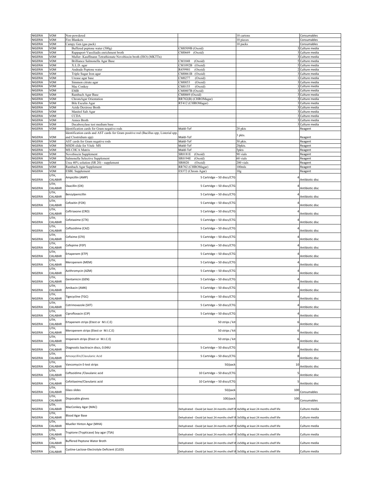| NIGERIA            | VOM             | Non-powdered                                                                          |                                                                                       | 10 cartons      | Consumables                      |
|--------------------|-----------------|---------------------------------------------------------------------------------------|---------------------------------------------------------------------------------------|-----------------|----------------------------------|
| NIGERIA            | VOM             | Fire Blankets                                                                         |                                                                                       | 10 pieces       | Consumables                      |
| NIGERIA            | VOM             | Campy Gen (gas pack)                                                                  |                                                                                       | 10 packs        | Consumables                      |
| NIGERIA            | VOM             | Buffered peptone water (500g)                                                         | CM0509B (Oxoid)                                                                       |                 | Culture media                    |
| NIGERIA            | VOM             | Rappaport-Vassiliadis enrichment broth                                                | CM0669 (Oxoid)                                                                        |                 | Culture media                    |
| NIGERIA            | VOM             | Muller-Kauffmann Tetrathionate Novobiocin broth (ISO) (MKTTn)                         |                                                                                       |                 | Culture media                    |
| NIGERIA            | VOM             | Brilliance Salmonella Agar Base                                                       | CM1048<br>(Oxoid)                                                                     |                 | Culture media                    |
| NIGERIA            | VOM             | X.L.D. agar                                                                           | CM1092B<br>(Oxoid)                                                                    |                 | Culture media                    |
| NIGERIA            | VOM             | Andrade Peptone water                                                                 | R459901<br>(Oxoid)                                                                    |                 | Culture media                    |
| NIGERIA            | VOM             | Triple Sugar Iron agar                                                                | CM0061B<br>(Oxoid)                                                                    |                 | Culture media                    |
| NIGERIA            | VOM             | Urease agar base                                                                      | CM0277<br>(Oxoid)                                                                     |                 | I Culture media                  |
| NIGERIA            | VOM             | Simmon citrate agar                                                                   | CM0053<br>(Oxoid)                                                                     |                 | Culture media                    |
| NIGERIA            | VOM             | Mac Conkey                                                                            | CM0155<br>(Oxoid)                                                                     |                 | 3 Culture media                  |
| NIGERIA            | VOM             | <b>EMB</b>                                                                            | CM0007B (Oxoid)                                                                       |                 | 3 Culture media                  |
| NIGERIA            | VOM             | Rambach Agar Base                                                                     | CM0069 (Oxoid)                                                                        |                 | Culture media                    |
| NIGERIA            | VOM             | ChromAgar Orientation                                                                 | RR702(B) (CHROMagar)                                                                  |                 | Culture media                    |
| NIGERIA            | VOM             | Bile Esculin Agar                                                                     | RT412 (CHROMagar)                                                                     |                 | 3 Culture media                  |
| NIGERIA            | VOM             | Azide Dextrose Broth                                                                  |                                                                                       |                 | 3 Culture media                  |
| NIGERIA            | /OM             | Manitol Salt Agar<br><b>CCDA</b>                                                      |                                                                                       |                 | Culture media<br>3 Culture media |
| NIGERIA<br>NIGERIA | /OM<br>VOM      | Amies Broth                                                                           |                                                                                       |                 | Culture media                    |
| NIGERIA            | VOM             | Decaboxylase test medium base                                                         |                                                                                       |                 | Culture media                    |
| NIGERIA            | VOM             | dentification cards for Gram negative rods                                            | Maldi-Tof                                                                             | 20 pkts         | Reagent                          |
|                    |                 | Identification cards and AST cards for Gram positive rod (Bacillus spp, Listerial spp |                                                                                       |                 |                                  |
| NIGERIA            | VOM             | and Clostridium spp)                                                                  | Maldi-Tof                                                                             | pkts.           | Reagent                          |
| NIGERIA            | VOM             | AST cards for Gram negative rods                                                      | Maldi-Tof                                                                             | 50 pkts.        | Reagent                          |
| NIGERIA            | VOM             | MSDS slide for Vitek-MS                                                               | Maldi-Tof                                                                             | 20pkts.         | Reagent                          |
| NIGERIA            | VOM             | MS CHCA Matrix                                                                        | Maldi-Tof                                                                             | 5pkts           | Reagent                          |
| NIGERIA            | VOM             | Novobiocin Supplement                                                                 | SR0181E<br>(Oxoid)                                                                    | 90 vials        | Reagent                          |
| NIGERIA            | VOM             | Salmonella Selective Supplement                                                       | SR0194E<br>(Oxoid)                                                                    | 60 vials        | Reagent                          |
| NIGERIA            | VOM             | Urea 40% solution (SR 20) - supplement                                                | SR0020<br>(Oxoid)                                                                     | 200 vials       | Reagent                          |
| NIGERIA            | VOM             | Rambach Agar Supplement                                                               | RR702 (CHROMagar)                                                                     | $100$ mls       | Reagent                          |
| NIGERIA            | VOM             | <b>ESBL</b> Supplement                                                                | ES372 (Chrom Agar)                                                                    | 10 <sub>g</sub> | Reagent                          |
|                    | UTH,            |                                                                                       |                                                                                       |                 |                                  |
| NIGERIA            | CALABAR         | Ampicillin (AMP)                                                                      | 5 Cartridge - 50 discs/CTG                                                            |                 | Antibiotic disc                  |
|                    | UTH,            | Oxacillin (OX)                                                                        | 5 Cartridge - 50 discs/CTG                                                            |                 |                                  |
| NIGERIA            | CALABAR         |                                                                                       |                                                                                       |                 | Antibiotic disc                  |
|                    | UTH,            | Benzylpenicillin                                                                      | 5 Cartridge - 50 discs/CTG                                                            |                 |                                  |
| NIGERIA            | CALABAR         |                                                                                       |                                                                                       |                 | Antibiotic disc                  |
|                    | UTH,            | Cefoxitin (FOX)                                                                       | 5 Cartridge - 50 discs/CTG                                                            |                 |                                  |
| NIGERIA            | CALABAR         |                                                                                       |                                                                                       |                 | Antibiotic disc                  |
|                    | υTΗ,            | Ceftriaxone (CRO)                                                                     | 5 Cartridge - 50 discs/CTG                                                            |                 |                                  |
| NIGERIA            | CALABAR         |                                                                                       |                                                                                       |                 | Antibiotic disc                  |
|                    | UTH,            | Cefotaxime (CTX)                                                                      | 5 Cartridge - 50 discs/CTG                                                            |                 |                                  |
| NIGERIA            | CALABAR         |                                                                                       |                                                                                       |                 | Antibiotic disc                  |
|                    | UTH,            | Ceftazidime (CAZ)                                                                     | 5 Cartridge - 50 discs/CTG                                                            |                 |                                  |
| NIGERIA            | CALABAR         |                                                                                       |                                                                                       |                 | Antibiotic disc                  |
|                    | UTH,            | Cefixime (CFX)                                                                        | 5 Cartridge - 50 discs/CTG                                                            |                 |                                  |
| NIGERIA            | CALABAR         |                                                                                       |                                                                                       |                 | Antibiotic disc                  |
|                    | UTH,<br>CALABAR | Cefepime (FEP)                                                                        | 5 Cartridge - 50 discs/CTG                                                            |                 |                                  |
| NIGERIA            | UTH,            |                                                                                       |                                                                                       |                 | Antibiotic disc                  |
| NIGERIA            | CALABAR         | Ertapenem (ETP)                                                                       | 5 Cartridge - 50 discs/CTG                                                            |                 |                                  |
|                    | UTH,            |                                                                                       |                                                                                       |                 | Antibiotic disc                  |
| NIGERIA            | CALABAR         | Meropenem (MEM)                                                                       | 5 Cartridge - 50 discs/CTG                                                            |                 | Antibiotic disc                  |
|                    | UTH,            |                                                                                       |                                                                                       |                 |                                  |
| NIGERIA            | CALABAR         | Azithromycin (AZM)                                                                    | 5 Cartridge - 50 discs/CTG                                                            |                 | Antibiotic disc                  |
|                    | UTH,            |                                                                                       |                                                                                       |                 |                                  |
| NIGERIA            | CALABAR         | Gentamicin (GEN)                                                                      | 5 Cartridge - 50 discs/CTG                                                            |                 | Antibiotic disc                  |
|                    | UTH,            |                                                                                       |                                                                                       |                 |                                  |
| NIGERIA            | CALABAR         | Amikacin (AMK)                                                                        | 5 Cartridge - 50 discs/CTG                                                            |                 | Antibiotic disc                  |
|                    | UTH,            |                                                                                       |                                                                                       |                 |                                  |
| NIGERIA            | CALABAR         | Tigecycline (TGC)                                                                     | 5 Cartridge - 50 discs/CTG                                                            |                 | Antibiotic disc                  |
|                    | UTH,            |                                                                                       |                                                                                       |                 |                                  |
| NIGERIA            | CALABAR         | Cotrimoxazole (SXT)                                                                   | 5 Cartridge - 50 discs/CTG                                                            |                 | Antibiotic disc                  |
|                    | UTH,            |                                                                                       |                                                                                       |                 |                                  |
| NIGERIA            | CALABAR         | Ciprofloxacin (CIP)                                                                   | 5 Cartridge - 50 discs/CTG                                                            |                 | Antibiotic disc                  |
|                    | UTH,            |                                                                                       |                                                                                       |                 |                                  |
| NIGERIA            | CALABAR         | Ertapenem strips (Etest or M.I.C.E)                                                   | 50 strips / kit                                                                       |                 | Antibiotic disc                  |
|                    | UTH,            | Meropenem strips (Etest or M.I.C.E)                                                   | 50 strips / kit                                                                       |                 |                                  |
| NIGERIA            | CALABAR         |                                                                                       |                                                                                       |                 | Antibiotic disc                  |
|                    | UTH,            | Imipenem strips (Etest or M.I.C.E)                                                    | 50 strips / kit                                                                       |                 |                                  |
| NIGERIA            | CALABAR         |                                                                                       |                                                                                       |                 | Antibiotic disc                  |
|                    | UTH,            | Diagnostic bacitracin discs, 0.04IU                                                   | 5 Cartridge - 50 discs/CTG                                                            |                 |                                  |
| NIGERIA            | CALABAR         |                                                                                       |                                                                                       |                 | Antibiotic disc                  |
|                    | UTH,            | Amoxycillin/Clavulanic Acid                                                           | 5 Cartridge - 50 discs/CTG                                                            |                 |                                  |
| NIGERIA            | CALABAR         |                                                                                       |                                                                                       |                 | Antibiotic disc                  |
|                    | UTH,            | Vancomycin E-test strips                                                              | 50/pack                                                                               | $\mathbf{1}$    |                                  |
| NIGERIA            | CALABAR<br>υTΗ, |                                                                                       |                                                                                       |                 | Antibiotic disc                  |
|                    |                 | Ceftazidime /Clavulanic acid                                                          | 10 Cartridge - 50 discs/CTG                                                           |                 |                                  |
| NIGERIA            | CALABAR<br>UTH, |                                                                                       |                                                                                       |                 | Antibiotic disc                  |
| NIGERIA            | CALABAR         | Cefottaxime/Clavulanic acid                                                           | 10 Cartridge - 50 discs/CTG                                                           |                 | Antibiotic disc                  |
|                    | UTH,            |                                                                                       |                                                                                       |                 |                                  |
| NIGERIA            | CALABAR         | Glass slides                                                                          | 50/pack                                                                               | 10              | Consumables                      |
|                    | UTH,            |                                                                                       |                                                                                       |                 |                                  |
| NIGERIA            | CALABAR         | Disposable gloves                                                                     | 100/pack                                                                              | 10              | Consumables                      |
|                    | UTH,            |                                                                                       |                                                                                       |                 |                                  |
| NIGERIA            | CALABAR         | MacConkey Agar (MAC)                                                                  | Dehydrated - Oxoid (at least 24 months shelf lif 4x500g at least 24 months shelf life |                 | Culture media                    |
|                    | υTΗ,            |                                                                                       |                                                                                       |                 |                                  |
| NIGERIA            | CALABAR         | <b>Blood Agar Base</b>                                                                | Dehydrated - Oxoid (at least 24 months shelf lif 3x500g at least 24 months shelf life |                 | Culture media                    |
|                    | UTH,            |                                                                                       |                                                                                       |                 |                                  |
| NIGERIA            | CALABAR         | Mueller Hinton Agar (MHA)                                                             | Dehydrated - Oxoid (at least 24 months shelf lif 6x500g at least 24 months shelf life |                 | Culture media                    |
|                    | UTH,            |                                                                                       |                                                                                       |                 |                                  |
| NIGERIA            | CALABAR         | Tryptone (Trypticase) Soy agar (TSA)                                                  | Dehydrated - Oxoid (at least 24 months shelf lif 3x500g at least 24 months shelf life |                 | Culture media                    |
|                    | UTH,            |                                                                                       |                                                                                       |                 |                                  |
| NIGERIA            | CALABAR         | Buffered Peptone Water Broth                                                          | Dehydrated - Oxoid (at least 24 months shelf lit 2x500g at least 24 months shelf life |                 | Culture media                    |
|                    | UTH,            | Cystine-Lactose-Electrolyte Deficient (CLED)                                          |                                                                                       |                 |                                  |
| NIGERIA            | CALABAR         |                                                                                       | Dehydrated - Oxoid (at least 24 months shelf lif 3x500g at least 24 months shelf life |                 | Culture media                    |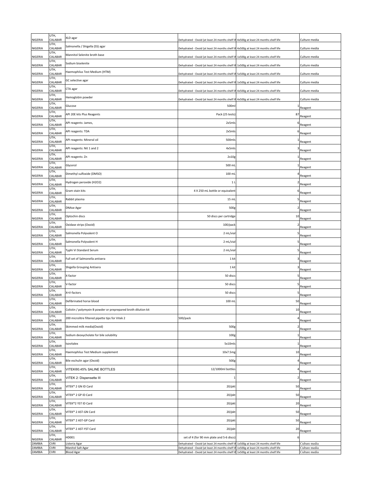| NIGERIA          | UTH,<br>CALABAR            | XLD agar                                                        | Dehydrated - Oxoid (at least 24 months shelf lit                                               | 4x500g at least 24 months shelf life                                         | Culture media                  |
|------------------|----------------------------|-----------------------------------------------------------------|------------------------------------------------------------------------------------------------|------------------------------------------------------------------------------|--------------------------------|
| NIGERIA          | UTH,<br>CALABAR            | Salmonella / Shigella (SS) agar                                 | Dehydrated - Oxoid (at least 24 months shelf lif 4x500g at least 24 months shelf life          |                                                                              | Culture media                  |
| NIGERIA          | UTH,<br>CALABAR            | Mannitol Selenite broth base                                    | Dehydrated - Oxoid (at least 24 months shelf lit                                               | 1x500g at least 24 months shelf life                                         | Culture media                  |
| NIGERIA          | UTH,<br>CALABAR            | Sodium biselenite                                               | Dehydrated - Oxoid (at least 24 months shelf li!                                               | 1x500g at least 24 months shelf life                                         | Culture media                  |
| NIGERIA          | UTH,<br>CALABAR            | Haemophilus Test Medium (HTM)                                   | Dehydrated - Oxoid (at least 24 months shelf lif                                               | 5x500g at least 24 months shelf life                                         | Culture media                  |
| NIGERIA          | UTH,<br>CALABAR            | GC selective agar                                               | Dehydrated - Oxoid (at least 24 months shelf li                                                | 1x500g at least 24 months shelf life                                         | Culture media                  |
| NIGERIA          | UTH,<br>CALABAR            | CTA agar                                                        | Dehydrated - Oxoid (at least 24 months shelf lif                                               | 4x500g at least 24 months shelf life                                         | Culture media                  |
| NIGERIA          | UTH,<br>CALABAR            | Hemoglobin powder                                               | Dehydrated - Oxoid (at least 24 months shelf I                                                 | 4x500g at least 24 months shelf life                                         | Culture media                  |
| NIGERIA          | UTH,<br>CALABAR            | Glucose                                                         | 500m                                                                                           |                                                                              | Reagent                        |
| NIGERIA          | UTH,<br>CALABAR            | API 20E kits Plus Reagents                                      | Pack (25 tests                                                                                 | 8 <sup>2</sup>                                                               | Reagent                        |
| NIGERIA          | UTH,<br>CALABAR            | API reagents: James,                                            | 2x5ml                                                                                          |                                                                              | Reagent                        |
| NIGERIA          | UTH,<br>CALABAR            | API reagents: TDA                                               | 2x5ml                                                                                          |                                                                              | Reagent                        |
| NIGERIA          | UTH,<br>CALABAR            | API reagents: Mineral oil                                       | 500ml:                                                                                         |                                                                              | Reagent                        |
| NIGERIA          | UTH,<br>CALABAR            | API reagents: Nit 1 and 2                                       | 4x5mls                                                                                         |                                                                              | Reagent                        |
| NIGERIA          | UTH,<br>CALABAR            | API reagents: Zn                                                | 2x10                                                                                           |                                                                              | Reagent                        |
| NIGERIA          | UTH,<br>CALABAR            | Glycerol                                                        | 500 ml                                                                                         |                                                                              | Reagent                        |
| NIGERIA          | UTH,<br>CALABAR            | Dimethyl sulfoxide (DMSO)                                       | 100 ml                                                                                         |                                                                              | Reagent                        |
| NIGERIA          | UTH,<br>CALABAR            | Hydrogen peroxide (H2O2)                                        | 1 <sub>l</sub>                                                                                 |                                                                              | Reagent                        |
| NIGERIA          | UTH,<br>CALABAR            | Gram stain kits                                                 | 4 X 250 mL bottle or equivalent                                                                |                                                                              | Reagent                        |
| NIGERIA          | UTH,<br>CALABAR            | Rabbit plasma                                                   | 15 ml                                                                                          |                                                                              | Reagent                        |
| NIGERIA          | UTH,<br>CALABAR            | <b>DNAse Agar</b>                                               | 500g                                                                                           |                                                                              | Reagent                        |
| NIGERIA          | UTH,<br>CALABAR            | Optochin discs                                                  | 50 discs per cartridge                                                                         | 1                                                                            | Reagent                        |
| NIGERIA          | UTH,<br>CALABAR            | Oxidase strips (Oxoid)                                          | 100/pack                                                                                       |                                                                              | Reagent                        |
| NIGERIA          | UTH,<br>CALABAR            | Salmonella Polyvalent O                                         | 2 mL/via                                                                                       |                                                                              | Reagent                        |
| NIGERIA          | UTH,<br>CALABAR            | Salmonella Polyvalent H                                         | 2 mL/vial                                                                                      |                                                                              | Reagent                        |
| NIGERIA          | UTH,<br>CALABAR            | Typhi Vi Standard Serum                                         | 2 mL/via                                                                                       |                                                                              | Reagent                        |
| NIGERIA          | UTH,<br>CALABAR            | Full set of Salmonella antisera                                 | 1 kit                                                                                          |                                                                              | Reagent                        |
| NIGERIA          | UTH,<br>CALABAR            | Shigella Grouping Antisera                                      | 1 kit                                                                                          |                                                                              | Reagent                        |
| NIGERIA          | UTH,<br>CALABAR            | X-factor                                                        | 50 disc                                                                                        |                                                                              | Reagent                        |
| NIGERIA          | UTH,<br>CALABAR            | V-factor                                                        | 50 disc:                                                                                       |                                                                              | Reagent                        |
| NIGERIA          | UTH,<br>CALABAR            | K+V-factors                                                     | 50 discs                                                                                       |                                                                              | Reagent                        |
| NIGERIA          | UTH,<br>CALABAR            | Defibrinated horse blood                                        | 100 mL                                                                                         | 5                                                                            | Reagent                        |
| NIGERIA          | UTH,<br>CALABAR            | Colistin / polymyxin B powder or preprepared broth dilution kit |                                                                                                | 10                                                                           | Reagent                        |
| NIGERIA          | UTH,<br>CALABAR            | 200 microlitre filtered pipette tips for Vitek 2                | 500/pack                                                                                       |                                                                              | Reagent                        |
| NIGERIA          | UTH,<br>CALABAR            | Skimmed milk media(Oxoid)                                       | 500g                                                                                           |                                                                              | Reagent                        |
| NIGERIA          | UTH,<br>CALABAR            | Sodium deoxycholate for bile solubility                         | 100 <sub>€</sub>                                                                               |                                                                              | Reagent                        |
| NIGERIA          | UTH,<br>CALABAR            | Isovitalex                                                      | 5x10mls                                                                                        |                                                                              | Reagent                        |
| NIGERIA          | UTH,<br>CALABAR            | Haemophilus Test Medium supplement                              | 10x7.5mg                                                                                       | 10                                                                           | Reagent                        |
| NIGERIA          | UTH,<br>CALABAR            | Bile eschulin agar (Oxoid)                                      | 500g                                                                                           |                                                                              | Reagent                        |
| NIGERIA          | UTH,<br>CALABAR            | VITEK®0.45% SALINE BOTTLES                                      | 12/1000ml bottles                                                                              |                                                                              | Reagent                        |
| NIGERIA          | UTH,<br>CALABAR            | VITEK 2: Dispensette III                                        |                                                                                                |                                                                              | Reagent                        |
| NIGERIA          | UTH,<br>CALABAR            | VITEK® 2 GN ID Card                                             | 20/pkt                                                                                         | 50                                                                           | Reagent                        |
| NIGERIA          | UTH,<br>CALABAR            | VITEK® 2 GP ID Card                                             | 20/pkt                                                                                         | 50                                                                           | Reagent                        |
| NIGERIA          | UTH,<br>CALABAR            | VITEK®2 YST ID Card                                             | 20/pkt                                                                                         | 20                                                                           | Reagent                        |
| NIGERIA          | UTH,<br>CALABAR            | VITEK® 2 AST-GN Card                                            | 20/pkt                                                                                         | 50                                                                           | Reagent                        |
| NIGERIA          | UTH,<br>CALABAR            | VITEK® 2 AST-GP Card                                            | 20/pkt                                                                                         | 50                                                                           | Reagent                        |
| NIGERIA          | UTH,<br>CALABAR            | VITEK® 2 AST-YST Card                                           | 20/pkt                                                                                         | 20                                                                           | Reagent                        |
| NIGERIA          | UTH,<br>CALABAR            | HD001                                                           | set of 4 (for 90 mm plate and 5-6 discs                                                        |                                                                              |                                |
| ZAMBIA<br>ZAMBIA | <b>CVRI</b><br><b>CVRI</b> | Listeria Agar<br>Manitol Salt Agar                              | Dehydrated - Oxoid (at least 24 months shelf I<br>Dehydrated - Oxoid (at least 24 months shelf | 1x500g at least 24 months shelf life<br>1x500g at least 24 months shelf life | Culture media<br>Culture media |
| ZAMBIA           | <b>CVRI</b>                | <b>Blood Agar</b>                                               | Dehydrated - Oxoid (at least 24 months shelf I                                                 | 1x500g at least 24 months shelf life                                         | Culture media                  |